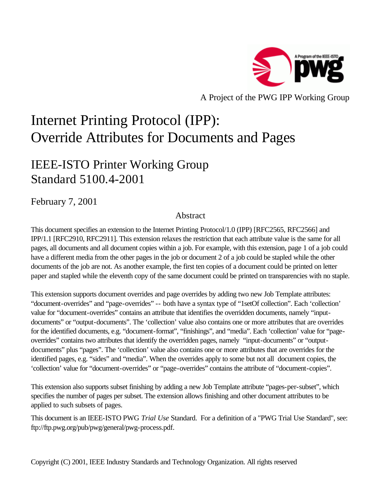

A Project of the PWG IPP Working Group

# Internet Printing Protocol (IPP): Override Attributes for Documents and Pages

# IEEE-ISTO Printer Working Group Standard 5100.4-2001

February 7, 2001

# Abstract

This document specifies an extension to the Internet Printing Protocol/1.0 (IPP) [RFC2565, RFC2566] and IPP/1.1 [RFC2910, RFC2911]. This extension relaxes the restriction that each attribute value is the same for all pages, all documents and all document copies within a job. For example, with this extension, page 1 of a job could have a different media from the other pages in the job or document 2 of a job could be stapled while the other documents of the job are not. As another example, the first ten copies of a document could be printed on letter paper and stapled while the eleventh copy of the same document could be printed on transparencies with no staple.

This extension supports document overrides and page overrides by adding two new Job Template attributes: "document-overrides" and "page-overrides" -- both have a syntax type of "1setOf collection". Each 'collection' value for "document-overrides" contains an attribute that identifies the overridden documents, namely "inputdocuments" or "output-documents". The 'collection' value also contains one or more attributes that are overrides for the identified documents, e.g. "document-format", "finishings", and "media". Each 'collection' value for "pageoverrides" contains two attributes that identify the overridden pages, namely "input-documents" or "outputdocuments" plus "pages". The 'collection' value also contains one or more attributes that are overrides for the identified pages, e.g. "sides" and "media". When the overrides apply to some but not all document copies, the 'collection' value for "document-overrides" or "page-overrides" contains the attribute of "document-copies".

This extension also supports subset finishing by adding a new Job Template attribute "pages-per-subset", which specifies the number of pages per subset. The extension allows finishing and other document attributes to be applied to such subsets of pages.

This document is an IEEE-ISTO PWG *Trial Use* Standard. For a definition of a "PWG Trial Use Standard", see: ftp://ftp.pwg.org/pub/pwg/general/pwg-process.pdf.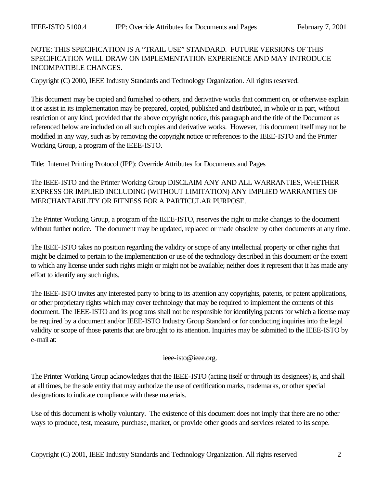# NOTE: THIS SPECIFICATION IS A "TRAIL USE" STANDARD. FUTURE VERSIONS OF THIS SPECIFICATION WILL DRAW ON IMPLEMENTATION EXPERIENCE AND MAY INTRODUCE INCOMPATIBLE CHANGES.

Copyright (C) 2000, IEEE Industry Standards and Technology Organization. All rights reserved.

This document may be copied and furnished to others, and derivative works that comment on, or otherwise explain it or assist in its implementation may be prepared, copied, published and distributed, in whole or in part, without restriction of any kind, provided that the above copyright notice, this paragraph and the title of the Document as referenced below are included on all such copies and derivative works. However, this document itself may not be modified in any way, such as by removing the copyright notice or references to the IEEE-ISTO and the Printer Working Group, a program of the IEEE-ISTO.

Title: Internet Printing Protocol (IPP): Override Attributes for Documents and Pages

The IEEE-ISTO and the Printer Working Group DISCLAIM ANY AND ALL WARRANTIES, WHETHER EXPRESS OR IMPLIED INCLUDING (WITHOUT LIMITATION) ANY IMPLIED WARRANTIES OF MERCHANTABILITY OR FITNESS FOR A PARTICULAR PURPOSE.

The Printer Working Group, a program of the IEEE-ISTO, reserves the right to make changes to the document without further notice. The document may be updated, replaced or made obsolete by other documents at any time.

The IEEE-ISTO takes no position regarding the validity or scope of any intellectual property or other rights that might be claimed to pertain to the implementation or use of the technology described in this document or the extent to which any license under such rights might or might not be available; neither does it represent that it has made any effort to identify any such rights.

The IEEE-ISTO invites any interested party to bring to its attention any copyrights, patents, or patent applications, or other proprietary rights which may cover technology that may be required to implement the contents of this document. The IEEE-ISTO and its programs shall not be responsible for identifying patents for which a license may be required by a document and/or IEEE-ISTO Industry Group Standard or for conducting inquiries into the legal validity or scope of those patents that are brought to its attention. Inquiries may be submitted to the IEEE-ISTO by e-mail at:

#### ieee-isto@ieee.org.

The Printer Working Group acknowledges that the IEEE-ISTO (acting itself or through its designees) is, and shall at all times, be the sole entity that may authorize the use of certification marks, trademarks, or other special designations to indicate compliance with these materials.

Use of this document is wholly voluntary. The existence of this document does not imply that there are no other ways to produce, test, measure, purchase, market, or provide other goods and services related to its scope.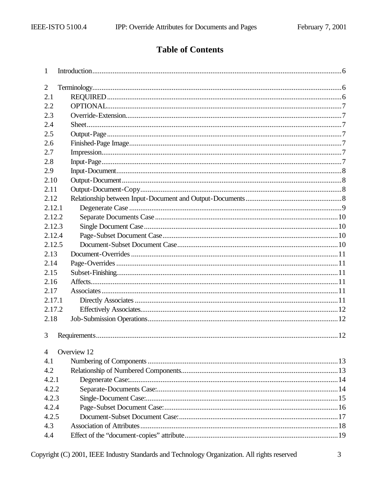# **Table of Contents**

| 1      |             |  |
|--------|-------------|--|
| 2      |             |  |
| 2.1    |             |  |
| 2.2    |             |  |
| 2.3    |             |  |
| 2.4    |             |  |
| 2.5    |             |  |
| 2.6    |             |  |
| 2.7    |             |  |
| 2.8    |             |  |
| 2.9    |             |  |
| 2.10   |             |  |
| 2.11   |             |  |
| 2.12   |             |  |
| 2.12.1 |             |  |
| 2.12.2 |             |  |
| 2.12.3 |             |  |
| 2.12.4 |             |  |
| 2.12.5 |             |  |
| 2.13   |             |  |
| 2.14   |             |  |
| 2.15   |             |  |
| 2.16   |             |  |
| 2.17   |             |  |
| 2.17.1 |             |  |
| 2.17.2 |             |  |
| 2.18   |             |  |
|        |             |  |
| 3      |             |  |
| 4      | Overview 12 |  |
| 4.1    |             |  |
| 4.2    |             |  |
| 4.2.1  |             |  |
| 4.2.2  |             |  |
| 4.2.3  |             |  |
| 4.2.4  |             |  |
| 4.2.5  |             |  |
| 4.3    |             |  |
| 4.4    |             |  |
|        |             |  |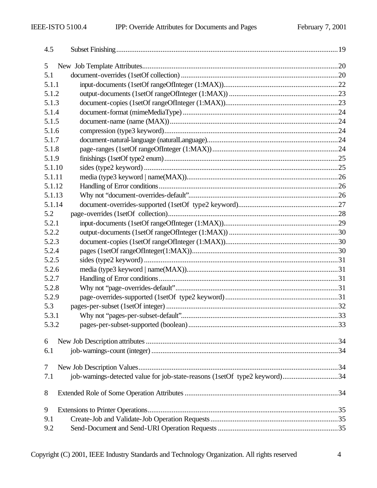| 4.5    |                                                                            |  |
|--------|----------------------------------------------------------------------------|--|
| 5      |                                                                            |  |
| 5.1    |                                                                            |  |
| 5.1.1  |                                                                            |  |
| 5.1.2  |                                                                            |  |
| 5.1.3  |                                                                            |  |
| 5.1.4  |                                                                            |  |
| 5.1.5  |                                                                            |  |
| 5.1.6  |                                                                            |  |
| 5.1.7  |                                                                            |  |
| 5.1.8  |                                                                            |  |
| 5.1.9  |                                                                            |  |
| 5.1.10 |                                                                            |  |
| 5.1.11 |                                                                            |  |
| 5.1.12 |                                                                            |  |
| 5.1.13 |                                                                            |  |
| 5.1.14 |                                                                            |  |
| 5.2    |                                                                            |  |
| 5.2.1  |                                                                            |  |
| 5.2.2  |                                                                            |  |
| 5.2.3  |                                                                            |  |
| 5.2.4  |                                                                            |  |
| 5.2.5  |                                                                            |  |
| 5.2.6  |                                                                            |  |
| 5.2.7  |                                                                            |  |
| 5.2.8  |                                                                            |  |
| 5.2.9  |                                                                            |  |
| 5.3    |                                                                            |  |
| 5.3.1  |                                                                            |  |
| 5.3.2  |                                                                            |  |
| 6      |                                                                            |  |
| 6.1    |                                                                            |  |
|        |                                                                            |  |
| 7      |                                                                            |  |
| 7.1    | job-warnings-detected value for job-state-reasons (1setOf type2 keyword)34 |  |
| 8      |                                                                            |  |
| 9      |                                                                            |  |
| 9.1    |                                                                            |  |
| 9.2    |                                                                            |  |
|        |                                                                            |  |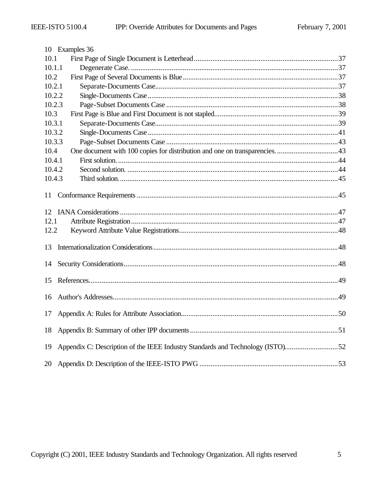|        | 10 Examples 36                                                                 |  |
|--------|--------------------------------------------------------------------------------|--|
| 10.1   |                                                                                |  |
| 10.1.1 |                                                                                |  |
| 10.2   |                                                                                |  |
| 10.2.1 |                                                                                |  |
| 10.2.2 |                                                                                |  |
| 10.2.3 |                                                                                |  |
| 10.3   |                                                                                |  |
| 10.3.1 |                                                                                |  |
| 10.3.2 |                                                                                |  |
| 10.3.3 |                                                                                |  |
| 10.4   |                                                                                |  |
| 10.4.1 |                                                                                |  |
| 10.4.2 |                                                                                |  |
| 10.4.3 |                                                                                |  |
| 11     |                                                                                |  |
|        |                                                                                |  |
| 12.1   |                                                                                |  |
| 12.2   |                                                                                |  |
| 13     |                                                                                |  |
| 14     |                                                                                |  |
|        |                                                                                |  |
| 15     |                                                                                |  |
| 16     |                                                                                |  |
| 17     |                                                                                |  |
| 18     |                                                                                |  |
| 19     | Appendix C: Description of the IEEE Industry Standards and Technology (ISTO)52 |  |
| 20     |                                                                                |  |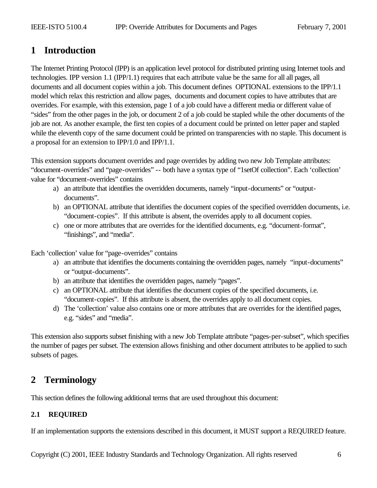# **1 Introduction**

The Internet Printing Protocol (IPP) is an application level protocol for distributed printing using Internet tools and technologies. IPP version 1.1 (IPP/1.1) requires that each attribute value be the same for all all pages, all documents and all document copies within a job. This document defines OPTIONAL extensions to the IPP/1.1 model which relax this restriction and allow pages, documents and document copies to have attributes that are overrides. For example, with this extension, page 1 of a job could have a different media or different value of "sides" from the other pages in the job, or document 2 of a job could be stapled while the other documents of the job are not. As another example, the first ten copies of a document could be printed on letter paper and stapled while the eleventh copy of the same document could be printed on transparencies with no staple. This document is a proposal for an extension to IPP/1.0 and IPP/1.1.

This extension supports document overrides and page overrides by adding two new Job Template attributes: "document-overrides" and "page-overrides" -- both have a syntax type of "1setOf collection". Each 'collection' value for "document-overrides" contains

- a) an attribute that identifies the overridden documents, namely "input-documents" or "outputdocuments".
- b) an OPTIONAL attribute that identifies the document copies of the specified overridden documents, i.e. "document-copies". If this attribute is absent, the overrides apply to all document copies.
- c) one or more attributes that are overrides for the identified documents, e.g. "document-format", "finishings", and "media".

Each 'collection' value for "page-overrides" contains

- a) an attribute that identifies the documents containing the overridden pages, namely "input-documents" or "output-documents".
- b) an attribute that identifies the overridden pages, namely "pages".
- c) an OPTIONAL attribute that identifies the document copies of the specified documents, i.e. "document-copies". If this attribute is absent, the overrides apply to all document copies.
- d) The 'collection' value also contains one or more attributes that are overrides for the identified pages, e.g. "sides" and "media".

This extension also supports subset finishing with a new Job Template attribute "pages-per-subset", which specifies the number of pages per subset. The extension allows finishing and other document attributes to be applied to such subsets of pages.

# **2 Terminology**

This section defines the following additional terms that are used throughout this document:

# **2.1 REQUIRED**

If an implementation supports the extensions described in this document, it MUST support a REQUIRED feature.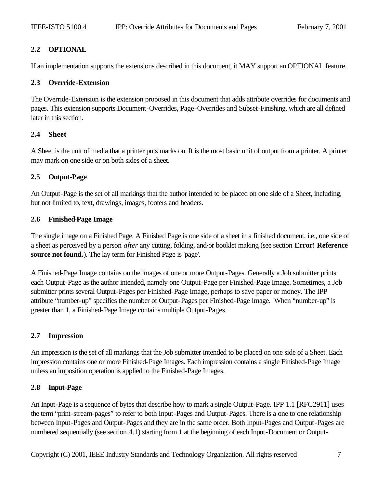# **2.2 OPTIONAL**

If an implementation supports the extensions described in this document, it MAY support an OPTIONAL feature.

### **2.3 Override-Extension**

The Override-Extension is the extension proposed in this document that adds attribute overrides for documents and pages. This extension supports Document-Overrides, Page-Overrides and Subset-Finishing, which are all defined later in this section.

### **2.4 Sheet**

A Sheet is the unit of media that a printer puts marks on. It is the most basic unit of output from a printer. A printer may mark on one side or on both sides of a sheet.

# **2.5 Output-Page**

An Output-Page is the set of all markings that the author intended to be placed on one side of a Sheet, including, but not limited to, text, drawings, images, footers and headers.

### **2.6 Finished-Page Image**

The single image on a Finished Page. A Finished Page is one side of a sheet in a finished document, i.e., one side of a sheet as perceived by a person *after* any cutting, folding, and/or booklet making (see section **Error! Reference source not found.**). The lay term for Finished Page is 'page'.

A Finished-Page Image contains on the images of one or more Output-Pages. Generally a Job submitter prints each Output-Page as the author intended, namely one Output-Page per Finished-Page Image. Sometimes, a Job submitter prints several Output-Pages per Finished-Page Image, perhaps to save paper or money. The IPP attribute "number-up" specifies the number of Output-Pages per Finished-Page Image. When "number-up" is greater than 1, a Finished-Page Image contains multiple Output-Pages.

# **2.7 Impression**

An impression is the set of all markings that the Job submitter intended to be placed on one side of a Sheet. Each impression contains one or more Finished-Page Images. Each impression contains a single Finished-Page Image unless an imposition operation is applied to the Finished-Page Images.

# **2.8 Input-Page**

An Input-Page is a sequence of bytes that describe how to mark a single Output-Page. IPP 1.1 [RFC2911] uses the term "print-stream-pages" to refer to both Input-Pages and Output-Pages. There is a one to one relationship between Input-Pages and Output-Pages and they are in the same order. Both Input-Pages and Output-Pages are numbered sequentially (see section 4.1) starting from 1 at the beginning of each Input-Document or Output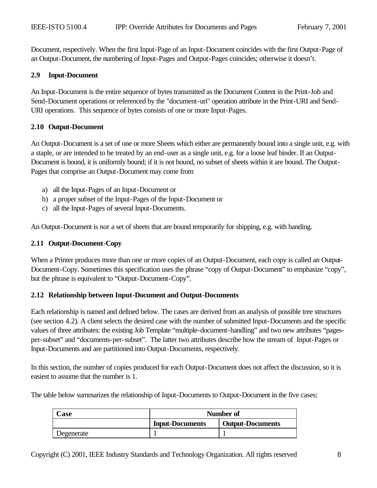Document, respectively. When the first Input-Page of an Input-Document coincides with the first Output-Page of an Output-Document, the numbering of Input-Pages and Output-Pages coincides; otherwise it doesn't.

### **2.9 Input-Document**

An Input-Document is the entire sequence of bytes transmitted as the Document Content in the Print-Job and Send-Document operations or referenced by the "document-uri" operation attribute in the Print-URI and Send-URI operations. This sequence of bytes consists of one or more Input-Pages.

### **2.10 Output-Document**

An Output-Document is a set of one or more Sheets which either are permanently bound into a single unit, e.g. with a staple, or are intended to be treated by an end-user as a single unit, e.g. for a loose leaf binder. If an Output-Document is bound, it is uniformly bound; if it is not bound, no subset of sheets within it are bound. The Output-Pages that comprise an Output-Document may come from

- a) all the Input-Pages of an Input-Document or
- b) a proper subset of the Input-Pages of the Input-Document or
- c) all the Input-Pages of several Input-Documents.

An Output-Document is *not* a set of sheets that are bound temporarily for shipping, e.g. with banding.

### **2.11 Output-Document-Copy**

When a Printer produces more than one or more copies of an Output-Document, each copy is called an Output-Document-Copy. Sometimes this specification uses the phrase "copy of Output-Document" to emphasize "copy", but the phrase is equivalent to "Output-Document-Copy".

### **2.12 Relationship between Input-Document and Output-Documents**

Each relationship is named and defined below. The cases are derived from an analysis of possible tree structures (see section 4.2). A client selects the desired case with the number of submitted Input-Documents and the specific values of three attributes: the existing Job Template "multiple-document-handling" and two new attributes "pagesper-subset" and "documents-per-subset". The latter two attributes describe how the stream of Input-Pages or Input-Documents and are partitioned into Output-Documents, respectively.

In this section, the number of copies produced for each Output-Document does not affect the discussion, so it is easiest to assume that the number is 1.

The table below summarizes the relationship of Input-Documents to Output-Document in the five cases:

| Case       | Number of              |                         |  |
|------------|------------------------|-------------------------|--|
|            | <b>Input-Documents</b> | <b>Output-Documents</b> |  |
| Degenerate |                        |                         |  |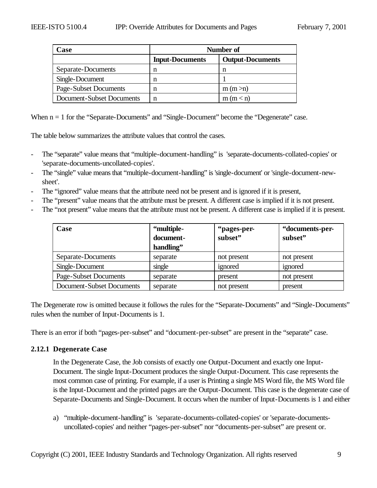| Case                      | Number of              |                         |  |
|---------------------------|------------------------|-------------------------|--|
|                           | <b>Input-Documents</b> | <b>Output-Documents</b> |  |
| Separate-Documents        |                        | n                       |  |
| Single-Document           |                        |                         |  |
| Page-Subset Documents     | n                      | m (m > n)               |  |
| Document-Subset Documents |                        | m(m < n)                |  |

When  $n = 1$  for the "Separate-Documents" and "Single-Document" become the "Degenerate" case.

The table below summarizes the attribute values that control the cases.

- The "separate" value means that "multiple-document-handling" is 'separate-documents-collated-copies' or 'separate-documents-uncollated-copies'.
- The "single" value means that "multiple-document-handling" is 'single-document' or 'single-document-newsheet'.
- The "ignored" value means that the attribute need not be present and is ignored if it is present,
- The "present" value means that the attribute must be present. A different case is implied if it is not present.
- The "not present" value means that the attribute must not be present. A different case is implied if it is present.

| Case                      | "multiple-<br>document-<br>handling" | "pages-per-<br>subset" | "documents-per-<br>subset" |
|---------------------------|--------------------------------------|------------------------|----------------------------|
| Separate-Documents        | separate                             | not present            | not present                |
| Single-Document           | single                               | ignored                | ignored                    |
| Page-Subset Documents     | separate                             | present                | not present                |
| Document-Subset Documents | separate                             | not present            | present                    |

The Degenerate row is omitted because it follows the rules for the "Separate-Documents" and "Single-Documents" rules when the number of Input-Documents is 1.

There is an error if both "pages-per-subset" and "document-per-subset" are present in the "separate" case.

### **2.12.1 Degenerate Case**

In the Degenerate Case, the Job consists of exactly one Output-Document and exactly one Input-Document. The single Input-Document produces the single Output-Document. This case represents the most common case of printing. For example, if a user is Printing a single MS Word file, the MS Word file is the Input-Document and the printed pages are the Output-Document. This case is the degenerate case of Separate-Documents and Single-Document. It occurs when the number of Input-Documents is 1 and either

a) "multiple-document-handling" is 'separate-documents-collated-copies' or 'separate-documentsuncollated-copies' and neither "pages-per-subset" nor "documents-per-subset" are present or.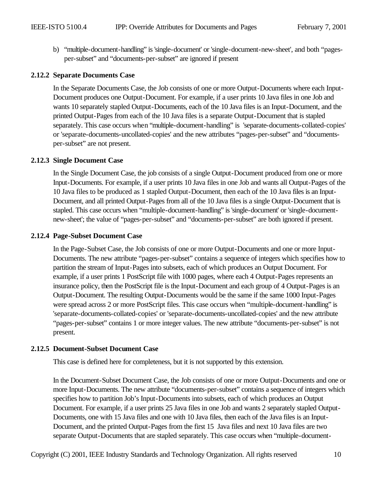b) "multiple-document-handling" is 'single-document' or 'single-document-new-sheet', and both "pagesper-subset" and "documents-per-subset" are ignored if present

### **2.12.2 Separate Documents Case**

In the Separate Documents Case, the Job consists of one or more Output-Documents where each Input-Document produces one Output-Document. For example, if a user prints 10 Java files in one Job and wants 10 separately stapled Output-Documents, each of the 10 Java files is an Input-Document, and the printed Output-Pages from each of the 10 Java files is a separate Output-Document that is stapled separately. This case occurs when "multiple-document-handling" is 'separate-documents-collated-copies' or 'separate-documents-uncollated-copies' and the new attributes "pages-per-subset" and "documentsper-subset" are not present.

### **2.12.3 Single Document Case**

In the Single Document Case, the job consists of a single Output-Document produced from one or more Input-Documents. For example, if a user prints 10 Java files in one Job and wants all Output-Pages of the 10 Java files to be produced as 1 stapled Output-Document, then each of the 10 Java files is an Input-Document, and all printed Output-Pages from all of the 10 Java files is a single Output-Document that is stapled. This case occurs when "multiple-document-handling" is 'single-document' or 'single-documentnew-sheet'; the value of "pages-per-subset" and "documents-per-subset" are both ignored if present.

### **2.12.4 Page-Subset Document Case**

In the Page-Subset Case, the Job consists of one or more Output-Documents and one or more Input-Documents. The new attribute "pages-per-subset" contains a sequence of integers which specifies how to partition the stream of Input-Pages into subsets, each of which produces an Output Document. For example, if a user prints 1 PostScript file with 1000 pages, where each 4 Output-Pages represents an insurance policy, then the PostScript file is the Input-Document and each group of 4 Output-Pages is an Output-Document. The resulting Output-Documents would be the same if the same 1000 Input-Pages were spread across 2 or more PostScript files. This case occurs when "multiple-document-handling" is 'separate-documents-collated-copies' or 'separate-documents-uncollated-copies' and the new attribute "pages-per-subset" contains 1 or more integer values. The new attribute "documents-per-subset" is not present.

# **2.12.5 Document-Subset Document Case**

This case is defined here for completeness, but it is not supported by this extension.

In the Document-Subset Document Case, the Job consists of one or more Output-Documents and one or more Input-Documents. The new attribute "documents-per-subset" contains a sequence of integers which specifies how to partition Job's Input-Documents into subsets, each of which produces an Output Document. For example, if a user prints 25 Java files in one Job and wants 2 separately stapled Output-Documents, one with 15 Java files and one with 10 Java files, then each of the Java files is an Input-Document, and the printed Output-Pages from the first 15 Java files and next 10 Java files are two separate Output-Documents that are stapled separately. This case occurs when "multiple-document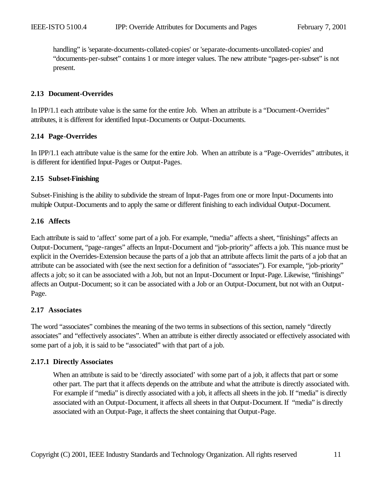handling" is 'separate-documents-collated-copies' or 'separate-documents-uncollated-copies' and "documents-per-subset" contains 1 or more integer values. The new attribute "pages-per-subset" is not present.

### **2.13 Document-Overrides**

In IPP/1.1 each attribute value is the same for the entire Job. When an attribute is a "Document-Overrides" attributes, it is different for identified Input-Documents or Output-Documents.

#### **2.14 Page-Overrides**

In IPP/1.1 each attribute value is the same for the entire Job. When an attribute is a "Page-Overrides" attributes, it is different for identified Input-Pages or Output-Pages.

#### **2.15 Subset-Finishing**

Subset-Finishing is the ability to subdivide the stream of Input-Pages from one or more Input-Documents into multiple Output-Documents and to apply the same or different finishing to each individual Output-Document.

#### **2.16 Affects**

Each attribute is said to 'affect' some part of a job. For example, "media" affects a sheet, "finishings" affects an Output-Document, "page-ranges" affects an Input-Document and "job-priority" affects a job. This nuance must be explicit in the Overrides-Extension because the parts of a job that an attribute affects limit the parts of a job that an attribute can be associated with (see the next section for a definition of "associates"). For example, "job-priority" affects a job; so it can be associated with a Job, but not an Input-Document or Input-Page. Likewise, "finishings" affects an Output-Document; so it can be associated with a Job or an Output-Document, but not with an Output-Page.

### **2.17 Associates**

The word "associates" combines the meaning of the two terms in subsections of this section, namely "directly associates" and "effectively associates". When an attribute is either directly associated or effectively associated with some part of a job, it is said to be "associated" with that part of a job.

### **2.17.1 Directly Associates**

When an attribute is said to be 'directly associated' with some part of a job, it affects that part or some other part. The part that it affects depends on the attribute and what the attribute is directly associated with. For example if "media" is directly associated with a job, it affects all sheets in the job. If "media" is directly associated with an Output-Document, it affects all sheets in that Output-Document. If "media" is directly associated with an Output-Page, it affects the sheet containing that Output-Page.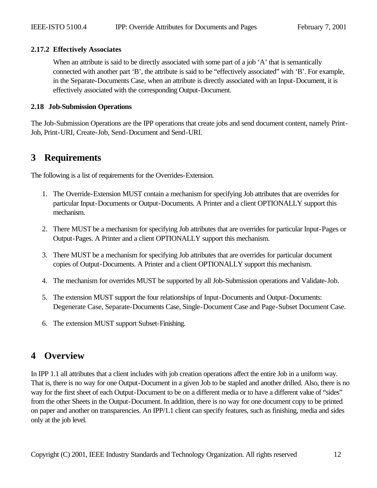### **2.17.2 Effectively Associates**

When an attribute is said to be directly associated with some part of a job 'A' that is semantically connected with another part 'B', the attribute is said to be "effectively associated" with 'B'. For example, in the Separate-Documents Case, when an attribute is directly associated with an Input-Document, it is effectively associated with the corresponding Output-Document.

# **2.18 Job-Submission Operations**

The Job-Submission Operations are the IPP operations that create jobs and send document content, namely Print-Job, Print-URI, Create-Job, Send-Document and Send-URI.

# **3 Requirements**

The following is a list of requirements for the Overrides-Extension.

- 1. The Override-Extension MUST contain a mechanism for specifying Job attributes that are overrides for particular Input-Documents or Output-Documents. A Printer and a client OPTIONALLY support this mechanism.
- 2. There MUST be a mechanism for specifying Job attributes that are overrides for particular Input-Pages or Output-Pages. A Printer and a client OPTIONALLY support this mechanism.
- 3. There MUST be a mechanism for specifying Job attributes that are overrides for particular document copies of Output-Documents. A Printer and a client OPTIONALLY support this mechanism.
- 4. The mechanism for overrides MUST be supported by all Job-Submission operations and Validate-Job.
- 5. The extension MUST support the four relationships of Input-Documents and Output-Documents: Degenerate Case, Separate-Documents Case, Single-Document Case and Page-Subset Document Case.
- 6. The extension MUST support Subset-Finishing.

# **4 Overview**

In IPP 1.1 all attributes that a client includes with job creation operations affect the entire Job in a uniform way. That is, there is no way for one Output-Document in a given Job to be stapled and another drilled. Also, there is no way for the first sheet of each Output-Document to be on a different media or to have a different value of "sides" from the other Sheets in the Output-Document. In addition, there is no way for one document copy to be printed on paper and another on transparencies. An IPP/1.1 client can specify features, such as finishing, media and sides only at the job level.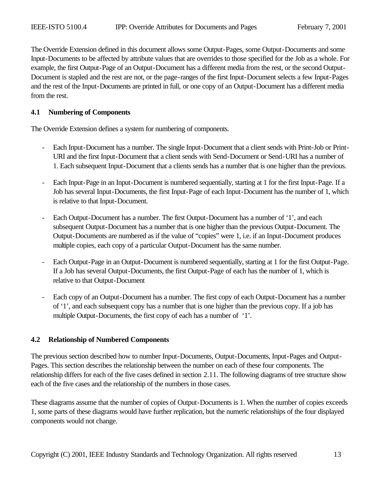The Override Extension defined in this document allows some Output-Pages, some Output-Documents and some Input-Documents to be affected by attribute values that are overrides to those specified for the Job as a whole. For example, the first Output-Page of an Output-Document has a different media from the rest, or the second Output-Document is stapled and the rest are not, or the page-ranges of the first Input-Document selects a few Input-Pages and the rest of the Input-Documents are printed in full, or one copy of an Output-Document has a different media from the rest.

### **4.1 Numbering of Components**

The Override Extension defines a system for numbering of components.

- Each Input-Document has a number. The single Input-Document that a client sends with Print-Job or Print-URI and the first Input-Document that a client sends with Send-Document or Send-URI has a number of 1. Each subsequent Input-Document that a clients sends has a number that is one higher than the previous.
- Each Input-Page in an Input-Document is numbered sequentially, starting at 1 for the first Input-Page. If a Job has several Input-Documents, the first Input-Page of each Input-Document has the number of 1, which is relative to that Input-Document.
- Each Output-Document has a number. The first Output-Document has a number of '1', and each subsequent Output-Document has a number that is one higher than the previous Output-Document. The Output-Documents are numbered as if the value of "copies" were 1, i.e. if an Input-Document produces multiple copies, each copy of a particular Output-Document has the same number.
- Each Output-Page in an Output-Document is numbered sequentially, starting at 1 for the first Output-Page. If a Job has several Output-Documents, the first Output-Page of each has the number of 1, which is relative to that Output-Document
- Each copy of an Output-Document has a number. The first copy of each Output-Document has a number of '1', and each subsequent copy has a number that is one higher than the previous copy. If a job has multiple Output-Documents, the first copy of each has a number of '1'.

### **4.2 Relationship of Numbered Components**

The previous section described how to number Input-Documents, Output-Documents, Input-Pages and Output-Pages. This section describes the relationship between the number on each of these four components. The relationship differs for each of the five cases defined in section 2.11. The following diagrams of tree structure show each of the five cases and the relationship of the numbers in those cases.

These diagrams assume that the number of copies of Output-Documents is 1. When the number of copies exceeds 1, some parts of these diagrams would have further replication, but the numeric relationships of the four displayed components would not change.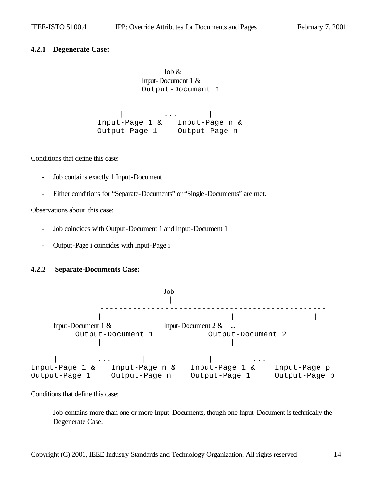### **4.2.1 Degenerate Case:**

Job & Input-Document 1 & Output-Document 1 | --------------------- | ... | ... | ... | ... | ... | ... | ... | ... | ... | ... | ... | ... | ... | ... | ... | ... | ... | ... | ... | ... | ... | ... | ... | ... | ... | ... | ... | ... | ... | ... | ... | ... | ... | ... | ... | ... | ... Input-Page 1 & Input-Page n & Output-Page 1 Output-Page n

Conditions that define this case:

- Job contains exactly 1 Input-Document
- Either conditions for "Separate-Documents" or "Single-Documents" are met.

Observations about this case:

- Job coincides with Output-Document 1 and Input-Document 1
- Output-Page i coincides with Input-Page i

### **4.2.2 Separate-Documents Case:**



Conditions that define this case:

- Job contains more than one or more Input-Documents, though one Input-Document is technically the Degenerate Case.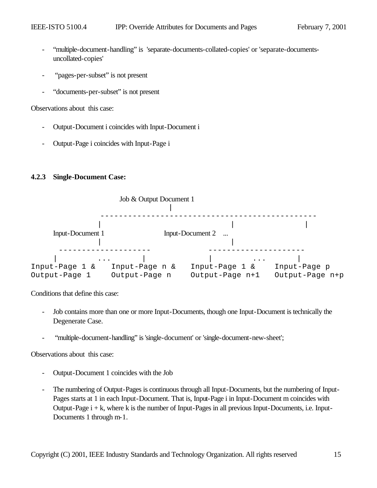- "multiple-document-handling" is 'separate-documents-collated-copies' or 'separate-documentsuncollated-copies'
- "pages-per-subset" is not present
- "documents-per-subset" is not present

Observations about this case:

- Output-Document i coincides with Input-Document i
- Output-Page i coincides with Input-Page i

### **4.2.3 Single-Document Case:**



Conditions that define this case:

- Job contains more than one or more Input-Documents, though one Input-Document is technically the Degenerate Case.
- "multiple-document-handling" is 'single-document' or 'single-document-new-sheet';

Observations about this case:

- Output-Document 1 coincides with the Job
- The numbering of Output-Pages is continuous through all Input-Documents, but the numbering of Input-Pages starts at 1 in each Input-Document. That is, Input-Page i in Input-Document m coincides with Output-Page i + k, where k is the number of Input-Pages in all previous Input-Documents, i.e. Input-Documents 1 through m-1.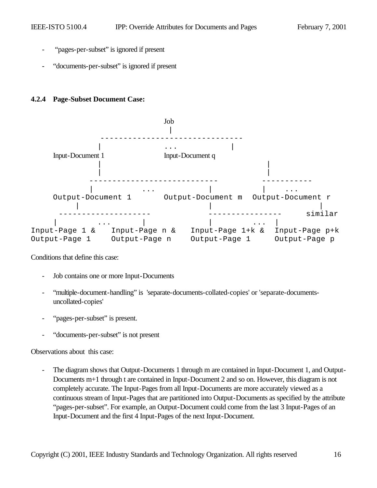- "pages-per-subset" is ignored if present
- "documents-per-subset" is ignored if present

### **4.2.4 Page-Subset Document Case:**



Conditions that define this case:

- Job contains one or more Input-Documents
- "multiple-document-handling" is 'separate-documents-collated-copies' or 'separate-documentsuncollated-copies'
- "pages-per-subset" is present.
- "documents-per-subset" is not present

Observations about this case:

The diagram shows that Output-Documents 1 through m are contained in Input-Document 1, and Output-Documents m+1 through t are contained in Input-Document 2 and so on. However, this diagram is not completely accurate. The Input-Pages from all Input-Documents are more accurately viewed as a continuous stream of Input-Pages that are partitioned into Output-Documents as specified by the attribute "pages-per-subset". For example, an Output-Document could come from the last 3 Input-Pages of an Input-Document and the first 4 Input-Pages of the next Input-Document.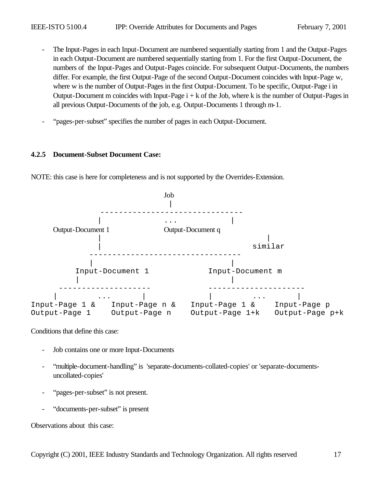- The Input-Pages in each Input-Document are numbered sequentially starting from 1 and the Output-Pages in each Output-Document are numbered sequentially starting from 1. For the first Output-Document, the numbers of the Input-Pages and Output-Pages coincide. For subsequent Output-Documents, the numbers differ. For example, the first Output-Page of the second Output-Document coincides with Input-Page w, where w is the number of Output-Pages in the first Output-Document. To be specific, Output-Page i in Output-Document m coincides with Input-Page  $i + k$  of the Job, where k is the number of Output-Pages in all previous Output-Documents of the job, e.g. Output-Documents 1 through m-1.
- "pages-per-subset" specifies the number of pages in each Output-Document.

### **4.2.5 Document-Subset Document Case:**



NOTE: this case is here for completeness and is not supported by the Overrides-Extension.

Conditions that define this case:

- Job contains one or more Input-Documents
- "multiple-document-handling" is 'separate-documents-collated-copies' or 'separate-documentsuncollated-copies'
- "pages-per-subset" is not present.
- "documents-per-subset" is present

Observations about this case: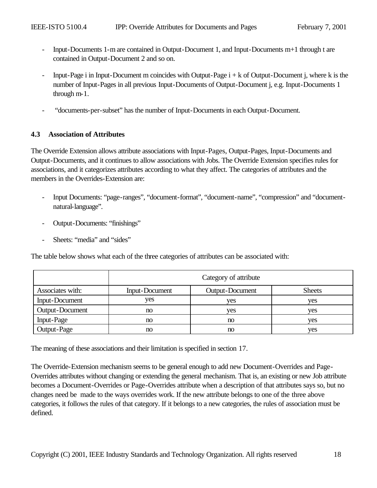- Input-Documents 1-m are contained in Output-Document 1, and Input-Documents m+1 through t are contained in Output-Document 2 and so on.
- Input-Page i in Input-Document m coincides with Output-Page  $i + k$  of Output-Document j, where k is the number of Input-Pages in all previous Input-Documents of Output-Document j, e.g. Input-Documents 1 through m-1.
- "documents-per-subset" has the number of Input-Documents in each Output-Document.

# **4.3 Association of Attributes**

The Override Extension allows attribute associations with Input-Pages, Output-Pages, Input-Documents and Output-Documents, and it continues to allow associations with Jobs. The Override Extension specifies rules for associations, and it categorizes attributes according to what they affect. The categories of attributes and the members in the Overrides-Extension are:

- Input Documents: "page-ranges", "document-format", "document-name", "compression" and "documentnatural-language".
- Output-Documents: "finishings"
- Sheets: "media" and "sides"

The table below shows what each of the three categories of attributes can be associated with:

|                       | Category of attribute |                 |               |  |
|-----------------------|-----------------------|-----------------|---------------|--|
| Associates with:      | <b>Input-Document</b> | Output-Document | <b>Sheets</b> |  |
| <b>Input-Document</b> | ves                   | yes             | ves           |  |
| Output-Document       | no                    | yes             | ves           |  |
| Input-Page            | no                    | no              | ves           |  |
| Output-Page           | no                    | no              | ves           |  |

The meaning of these associations and their limitation is specified in section 17.

The Override-Extension mechanism seems to be general enough to add new Document-Overrides and Page-Overrides attributes without changing or extending the general mechanism. That is, an existing or new Job attribute becomes a Document-Overrides or Page-Overrides attribute when a description of that attributes says so, but no changes need be made to the ways overrides work. If the new attribute belongs to one of the three above categories, it follows the rules of that category. If it belongs to a new categories, the rules of association must be defined.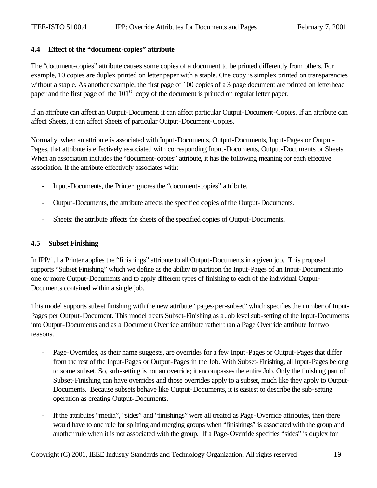# **4.4 Effect of the "document-copies" attribute**

The "document-copies" attribute causes some copies of a document to be printed differently from others. For example, 10 copies are duplex printed on letter paper with a staple. One copy is simplex printed on transparencies without a staple. As another example, the first page of 100 copies of a 3 page document are printed on letterhead paper and the first page of the 101<sup>st</sup> copy of the document is printed on regular letter paper.

If an attribute can affect an Output-Document, it can affect particular Output-Document-Copies. If an attribute can affect Sheets, it can affect Sheets of particular Output-Document-Copies.

Normally, when an attribute is associated with Input-Documents, Output-Documents, Input-Pages or Output-Pages, that attribute is effectively associated with corresponding Input-Documents, Output-Documents or Sheets. When an association includes the "document-copies" attribute, it has the following meaning for each effective association. If the attribute effectively associates with:

- Input-Documents, the Printer ignores the "document-copies" attribute.
- Output-Documents, the attribute affects the specified copies of the Output-Documents.
- Sheets: the attribute affects the sheets of the specified copies of Output-Documents.

# **4.5 Subset Finishing**

In IPP/1.1 a Printer applies the "finishings" attribute to all Output-Documents in a given job. This proposal supports "Subset Finishing" which we define as the ability to partition the Input-Pages of an Input-Document into one or more Output-Documents and to apply different types of finishing to each of the individual Output-Documents contained within a single job.

This model supports subset finishing with the new attribute "pages-per-subset" which specifies the number of Input-Pages per Output-Document. This model treats Subset-Finishing as a Job level sub-setting of the Input-Documents into Output-Documents and as a Document Override attribute rather than a Page Override attribute for two reasons.

- Page-Overrides, as their name suggests, are overrides for a few Input-Pages or Output-Pages that differ from the rest of the Input-Pages or Output-Pages in the Job. With Subset-Finishing, all Input-Pages belong to some subset. So, sub-setting is not an override; it encompasses the entire Job. Only the finishing part of Subset-Finishing can have overrides and those overrides apply to a subset, much like they apply to Output-Documents. Because subsets behave like Output-Documents, it is easiest to describe the sub-setting operation as creating Output-Documents.
- If the attributes "media", "sides" and "finishings" were all treated as Page-Override attributes, then there would have to one rule for splitting and merging groups when "finishings" is associated with the group and another rule when it is not associated with the group. If a Page-Override specifies "sides" is duplex for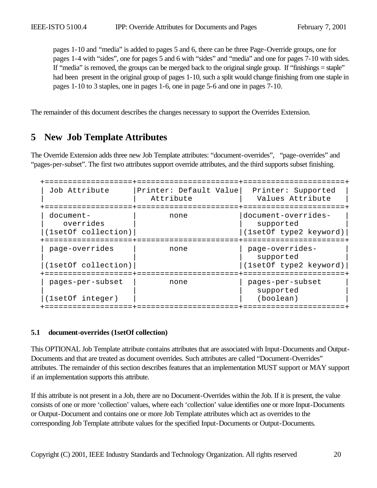pages 1-10 and "media" is added to pages 5 and 6, there can be three Page-Override groups, one for pages 1-4 with "sides", one for pages 5 and 6 with "sides" and "media" and one for pages 7-10 with sides. If "media" is removed, the groups can be merged back to the original single group. If "finishings = staple" had been present in the original group of pages 1-10, such a split would change finishing from one staple in pages 1-10 to 3 staples, one in pages 1-6, one in page 5-6 and one in pages 7-10.

The remainder of this document describes the changes necessary to support the Overrides Extension.

# **5 New Job Template Attributes**

The Override Extension adds three new Job Template attributes: "document-overrides", "page-overrides" and "pages-per-subset". The first two attributes support override attributes, and the third supports subset finishing.

| Job Attribute                                 | Printer: Default Value<br>Attribute | Printer: Supported<br>Values Attribute                     |
|-----------------------------------------------|-------------------------------------|------------------------------------------------------------|
| document-<br>overrides<br>(1setOf collection) | none                                | document-overrides-<br>supported<br>(1setOf type2 keyword) |
| page-overrides<br>(1setOf collection)         | none                                | page-overrides-<br>supported<br>(1setOf type2 keyword)     |
| pages-per-subset<br>(1setOf integer)          | none                                | pages-per-subset<br>supported<br>(boolean)                 |

#### **5.1 document-overrides (1setOf collection)**

This OPTIONAL Job Template attribute contains attributes that are associated with Input-Documents and Output-Documents and that are treated as document overrides. Such attributes are called "Document-Overrides" attributes. The remainder of this section describes features that an implementation MUST support or MAY support if an implementation supports this attribute.

If this attribute is not present in a Job, there are no Document-Overrides within the Job. If it is present, the value consists of one or more 'collection' values, where each 'collection' value identifies one or more Input-Documents or Output-Document and contains one or more Job Template attributes which act as overrides to the corresponding Job Template attribute values for the specified Input-Documents or Output-Documents.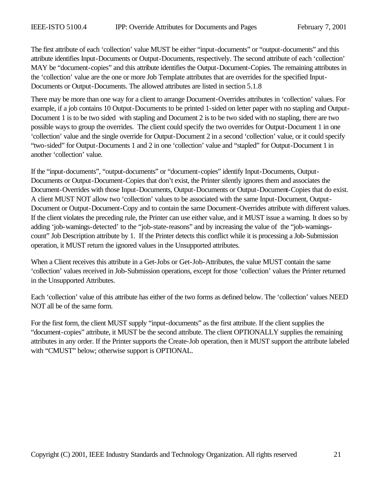The first attribute of each 'collection' value MUST be either "input-documents" or "output-documents" and this attribute identifies Input-Documents or Output-Documents, respectively. The second attribute of each 'collection' MAY be "document-copies" and this attribute identifies the Output-Document-Copies. The remaining attributes in the 'collection' value are the one or more Job Template attributes that are overrides for the specified Input-Documents or Output-Documents. The allowed attributes are listed in section 5.1.8

There may be more than one way for a client to arrange Document-Overrides attributes in 'collection' values. For example, if a job contains 10 Output-Documents to be printed 1-sided on letter paper with no stapling and Output-Document 1 is to be two sided with stapling and Document 2 is to be two sided with no stapling, there are two possible ways to group the overrides. The client could specify the two overrides for Output-Document 1 in one 'collection' value and the single override for Output-Document 2 in a second 'collection' value, or it could specify "two-sided" for Output-Documents 1 and 2 in one 'collection' value and "stapled" for Output-Document 1 in another 'collection' value.

If the "input-documents", "output-documents" or "document-copies" identify Input-Documents, Output-Documents or Output-Document-Copies that don't exist, the Printer silently ignores them and associates the Document-Overrides with those Input-Documents, Output-Documents or Output-Document-Copies that do exist. A client MUST NOT allow two 'collection' values to be associated with the same Input-Document, Output-Document or Output-Document-Copy and to contain the same Document-Overrides attribute with different values. If the client violates the preceding rule, the Printer can use either value, and it MUST issue a warning. It does so by adding 'job-warnings-detected' to the "job-state-reasons" and by increasing the value of the "job-warningscount" Job Description attribute by 1. If the Printer detects this conflict while it is processing a Job-Submission operation, it MUST return the ignored values in the Unsupported attributes.

When a Client receives this attribute in a Get-Jobs or Get-Job-Attributes, the value MUST contain the same 'collection' values received in Job-Submission operations, except for those 'collection' values the Printer returned in the Unsupported Attributes.

Each 'collection' value of this attribute has either of the two forms as defined below. The 'collection' values NEED NOT all be of the same form.

For the first form, the client MUST supply "input-documents" as the first attribute. If the client supplies the "document-copies" attribute, it MUST be the second attribute. The client OPTIONALLY supplies the remaining attributes in any order. If the Printer supports the Create-Job operation, then it MUST support the attribute labeled with "CMUST" below; otherwise support is OPTIONAL.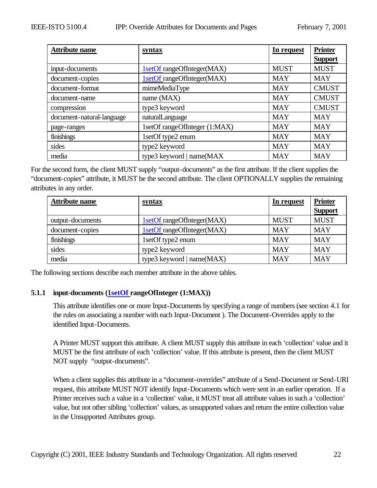| <b>Attribute name</b>     | syntax                        | In request  | <b>Printer</b> |
|---------------------------|-------------------------------|-------------|----------------|
|                           |                               |             | <b>Support</b> |
| input-documents           | 1setOf rangeOfInteger(MAX)    | <b>MUST</b> | <b>MUST</b>    |
| document-copies           | 1setOf rangeOfInteger(MAX)    | <b>MAY</b>  | <b>MAY</b>     |
| document-format           | mimeMediaType                 | <b>MAY</b>  | <b>CMUST</b>   |
| document-name             | name (MAX)                    | <b>MAY</b>  | <b>CMUST</b>   |
| compression               | type3 keyword                 | <b>MAY</b>  | <b>CMUST</b>   |
| document-natural-language | naturalLanguage               | <b>MAY</b>  | <b>MAY</b>     |
| page-ranges               | 1setOf rangeOfInteger (1:MAX) | <b>MAY</b>  | <b>MAY</b>     |
| finishings                | 1setOf type2 enum             | <b>MAY</b>  | <b>MAY</b>     |
| sides                     | type2 keyword                 | <b>MAY</b>  | <b>MAY</b>     |
| media                     | type3 keyword   name(MAX      | <b>MAY</b>  | <b>MAY</b>     |

For the second form, the client MUST supply "output-documents" as the first attribute. If the client supplies the "document-copies" attribute, it MUST be the second attribute. The client OPTIONALLY supplies the remaining attributes in any order.

| <b>Attribute name</b> | <u>syntax</u>              | In request  | <b>Printer</b> |
|-----------------------|----------------------------|-------------|----------------|
|                       |                            |             | <b>Support</b> |
| output-documents      | 1setOf rangeOfInteger(MAX) | <b>MUST</b> | <b>MUST</b>    |
| document-copies       | 1setOf rangeOfInteger(MAX) | <b>MAY</b>  | <b>MAY</b>     |
| finishings            | 1setOf type2 enum          | <b>MAY</b>  | <b>MAY</b>     |
| sides                 | type2 keyword              | <b>MAY</b>  | <b>MAY</b>     |
| media                 | type3 keyword   name(MAX)  | <b>MAY</b>  | <b>MAY</b>     |

The following sections describe each member attribute in the above tables.

# **5.1.1 input-documents (1setOf rangeOfInteger (1:MAX))**

This attribute identifies one or more Input-Documents by specifying a range of numbers (see section 4.1 for the rules on associating a number with each Input-Document ). The Document-Overrides apply to the identified Input-Documents.

A Printer MUST support this attribute. A client MUST supply this attribute in each 'collection' value and it MUST be the first attribute of each 'collection' value. If this attribute is present, then the client MUST NOT supply "output-documents".

When a client supplies this attribute in a "document-overrides" attribute of a Send-Document or Send-URI request, this attribute MUST NOT identify Input-Documents which were sent in an earlier operation. If a Printer receives such a value in a 'collection' value, it MUST treat all attribute values in such a 'collection' value, but not other sibling 'collection' values, as unsupported values and return the entire collection value in the Unsupported Attributes group.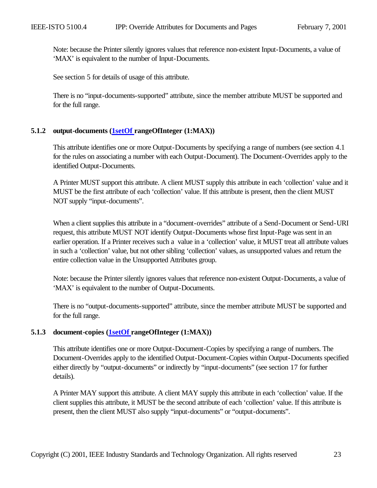Note: because the Printer silently ignores values that reference non-existent Input-Documents, a value of 'MAX' is equivalent to the number of Input-Documents.

See section 5 for details of usage of this attribute.

There is no "input-documents-supported" attribute, since the member attribute MUST be supported and for the full range.

### **5.1.2 output-documents (1setOf rangeOfInteger (1:MAX))**

This attribute identifies one or more Output-Documents by specifying a range of numbers (see section 4.1 for the rules on associating a number with each Output-Document). The Document-Overrides apply to the identified Output-Documents.

A Printer MUST support this attribute. A client MUST supply this attribute in each 'collection' value and it MUST be the first attribute of each 'collection' value. If this attribute is present, then the client MUST NOT supply "input-documents".

When a client supplies this attribute in a "document-overrides" attribute of a Send-Document or Send-URI request, this attribute MUST NOT identify Output-Documents whose first Input-Page was sent in an earlier operation. If a Printer receives such a value in a 'collection' value, it MUST treat all attribute values in such a 'collection' value, but not other sibling 'collection' values, as unsupported values and return the entire collection value in the Unsupported Attributes group.

Note: because the Printer silently ignores values that reference non-existent Output-Documents, a value of 'MAX' is equivalent to the number of Output-Documents.

There is no "output-documents-supported" attribute, since the member attribute MUST be supported and for the full range.

### **5.1.3 document-copies (1setOf rangeOfInteger (1:MAX))**

This attribute identifies one or more Output-Document-Copies by specifying a range of numbers. The Document-Overrides apply to the identified Output-Document-Copies within Output-Documents specified either directly by "output-documents" or indirectly by "input-documents" (see section 17 for further details).

A Printer MAY support this attribute. A client MAY supply this attribute in each 'collection' value. If the client supplies this attribute, it MUST be the second attribute of each 'collection' value. If this attribute is present, then the client MUST also supply "input-documents" or "output-documents".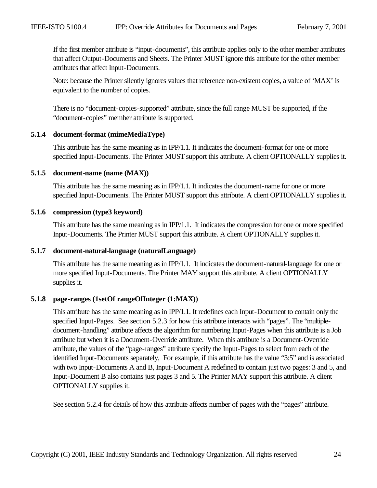If the first member attribute is "input-documents", this attribute applies only to the other member attributes that affect Output-Documents and Sheets. The Printer MUST ignore this attribute for the other member attributes that affect Input-Documents.

Note: because the Printer silently ignores values that reference non-existent copies, a value of 'MAX' is equivalent to the number of copies.

There is no "document-copies-supported" attribute, since the full range MUST be supported, if the "document-copies" member attribute is supported.

#### **5.1.4 document-format (mimeMediaType)**

This attribute has the same meaning as in IPP/1.1. It indicates the document-format for one or more specified Input-Documents. The Printer MUST support this attribute. A client OPTIONALLY supplies it.

#### **5.1.5 document-name (name (MAX))**

This attribute has the same meaning as in IPP/1.1. It indicates the document-name for one or more specified Input-Documents. The Printer MUST support this attribute. A client OPTIONALLY supplies it.

#### **5.1.6 compression (type3 keyword)**

This attribute has the same meaning as in IPP/1.1. It indicates the compression for one or more specified Input-Documents. The Printer MUST support this attribute. A client OPTIONALLY supplies it.

### **5.1.7 document-natural-language (naturalLanguage)**

This attribute has the same meaning as in IPP/1.1. It indicates the document-natural-language for one or more specified Input-Documents. The Printer MAY support this attribute. A client OPTIONALLY supplies it.

### **5.1.8 page-ranges (1setOf rangeOfInteger (1:MAX))**

This attribute has the same meaning as in IPP/1.1. It redefines each Input-Document to contain only the specified Input-Pages. See section 5.2.3 for how this attribute interacts with "pages". The "multipledocument-handling" attribute affects the algorithm for numbering Input-Pages when this attribute is a Job attribute but when it is a Document-Override attribute. When this attribute is a Document-Override attribute, the values of the "page-ranges" attribute specify the Input-Pages to select from each of the identified Input-Documents separately, For example, if this attribute has the value "3:5" and is associated with two Input-Documents A and B, Input-Document A redefined to contain just two pages: 3 and 5, and Input-Document B also contains just pages 3 and 5. The Printer MAY support this attribute. A client OPTIONALLY supplies it.

See section 5.2.4 for details of how this attribute affects number of pages with the "pages" attribute.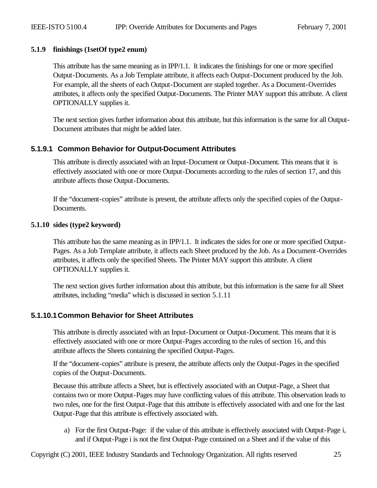# **5.1.9 finishings (1setOf type2 enum)**

This attribute has the same meaning as in IPP/1.1. It indicates the finishings for one or more specified Output-Documents. As a Job Template attribute, it affects each Output-Document produced by the Job. For example, all the sheets of each Output-Document are stapled together. As a Document-Overrides attributes, it affects only the specified Output-Documents. The Printer MAY support this attribute. A client OPTIONALLY supplies it.

The next section gives further information about this attribute, but this information is the same for all Output-Document attributes that might be added later.

# **5.1.9.1 Common Behavior for Output-Document Attributes**

This attribute is directly associated with an Input-Document or Output-Document. This means that it is effectively associated with one or more Output-Documents according to the rules of section 17, and this attribute affects those Output-Documents.

If the "document-copies" attribute is present, the attribute affects only the specified copies of the Output-Documents.

### **5.1.10 sides (type2 keyword)**

This attribute has the same meaning as in IPP/1.1. It indicates the sides for one or more specified Output-Pages. As a Job Template attribute, it affects each Sheet produced by the Job. As a Document-Overrides attributes, it affects only the specified Sheets. The Printer MAY support this attribute. A client OPTIONALLY supplies it.

The next section gives further information about this attribute, but this information is the same for all Sheet attributes, including "media" which is discussed in section 5.1.11

# **5.1.10.1Common Behavior for Sheet Attributes**

This attribute is directly associated with an Input-Document or Output-Document. This means that it is effectively associated with one or more Output-Pages according to the rules of section 16, and this attribute affects the Sheets containing the specified Output-Pages.

If the "document-copies" attribute is present, the attribute affects only the Output-Pages in the specified copies of the Output-Documents.

Because this attribute affects a Sheet, but is effectively associated with an Output-Page, a Sheet that contains two or more Output-Pages may have conflicting values of this attribute. This observation leads to two rules, one for the first Output-Page that this attribute is effectively associated with and one for the last Output-Page that this attribute is effectively associated with.

a) For the first Output-Page: if the value of this attribute is effectively associated with Output-Page i, and if Output-Page i is not the first Output-Page contained on a Sheet and if the value of this

Copyright (C) 2001, IEEE Industry Standards and Technology Organization. All rights reserved 25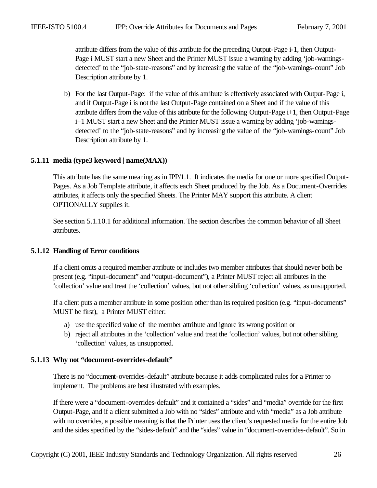attribute differs from the value of this attribute for the preceding Output-Page i-1, then Output-Page i MUST start a new Sheet and the Printer MUST issue a warning by adding 'job-warningsdetected' to the "job-state-reasons" and by increasing the value of the "job-warnings-count" Job Description attribute by 1.

b) For the last Output-Page: if the value of this attribute is effectively associated with Output-Page i, and if Output-Page i is not the last Output-Page contained on a Sheet and if the value of this attribute differs from the value of this attribute for the following Output-Page i+1, then Output-Page i+1 MUST start a new Sheet and the Printer MUST issue a warning by adding 'job-warningsdetected' to the "job-state-reasons" and by increasing the value of the "job-warnings-count" Job Description attribute by 1.

# **5.1.11 media (type3 keyword | name(MAX))**

This attribute has the same meaning as in IPP/1.1. It indicates the media for one or more specified Output-Pages. As a Job Template attribute, it affects each Sheet produced by the Job. As a Document-Overrides attributes, it affects only the specified Sheets. The Printer MAY support this attribute. A client OPTIONALLY supplies it.

See section 5.1.10.1 for additional information. The section describes the common behavior of all Sheet attributes.

# **5.1.12 Handling of Error conditions**

If a client omits a required member attribute or includes two member attributes that should never both be present (e.g. "input-document" and "output-document"), a Printer MUST reject all attributes in the 'collection' value and treat the 'collection' values, but not other sibling 'collection' values, as unsupported.

If a client puts a member attribute in some position other than its required position (e.g. "input-documents" MUST be first), a Printer MUST either:

- a) use the specified value of the member attribute and ignore its wrong position or
- b) reject all attributes in the 'collection' value and treat the 'collection' values, but not other sibling 'collection' values, as unsupported.

# **5.1.13 Why not "document-overrides-default"**

There is no "document-overrides-default" attribute because it adds complicated rules for a Printer to implement. The problems are best illustrated with examples.

If there were a "document-overrides-default" and it contained a "sides" and "media" override for the first Output-Page, and if a client submitted a Job with no "sides" attribute and with "media" as a Job attribute with no overrides, a possible meaning is that the Printer uses the client's requested media for the entire Job and the sides specified by the "sides-default" and the "sides" value in "document-overrides-default". So in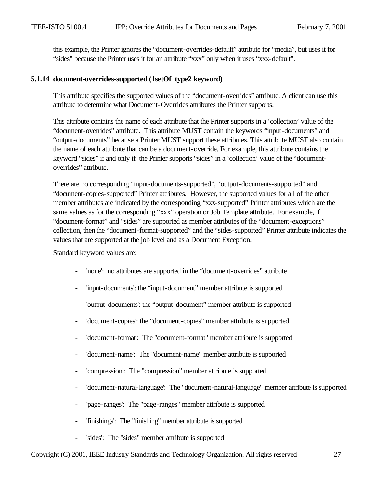this example, the Printer ignores the "document-overrides-default" attribute for "media", but uses it for "sides" because the Printer uses it for an attribute "xxx" only when it uses "xxx-default".

#### **5.1.14 document-overrides-supported (1setOf type2 keyword)**

This attribute specifies the supported values of the "document-overrides" attribute. A client can use this attribute to determine what Document-Overrides attributes the Printer supports.

This attribute contains the name of each attribute that the Printer supports in a 'collection' value of the "document-overrides" attribute. This attribute MUST contain the keywords "input-documents" and "output-documents" because a Printer MUST support these attributes. This attribute MUST also contain the name of each attribute that can be a document-override. For example, this attribute contains the keyword "sides" if and only if the Printer supports "sides" in a 'collection' value of the "documentoverrides" attribute.

There are no corresponding "input-documents-supported", "output-documents-supported" and "document-copies-supported" Printer attributes. However, the supported values for all of the other member attributes are indicated by the corresponding "xxx-supported" Printer attributes which are the same values as for the corresponding "xxx" operation or Job Template attribute. For example, if "document-format" and "sides" are supported as member attributes of the "document-exceptions" collection, then the "document-format-supported" and the "sides-supported" Printer attribute indicates the values that are supported at the job level and as a Document Exception.

Standard keyword values are:

- 'none': no attributes are supported in the "document-overrides" attribute
- 'input-documents': the "input-document" member attribute is supported
- 'output-documents': the "output-document" member attribute is supported
- 'document-copies': the "document-copies" member attribute is supported
- 'document-format': The "document-format" member attribute is supported
- 'document-name': The "document-name" member attribute is supported
- 'compression': The "compression" member attribute is supported
- 'document-natural-language': The "document-natural-language" member attribute is supported
- 'page-ranges': The "page-ranges" member attribute is supported
- 'finishings': The "finishing" member attribute is supported
- 'sides': The "sides" member attribute is supported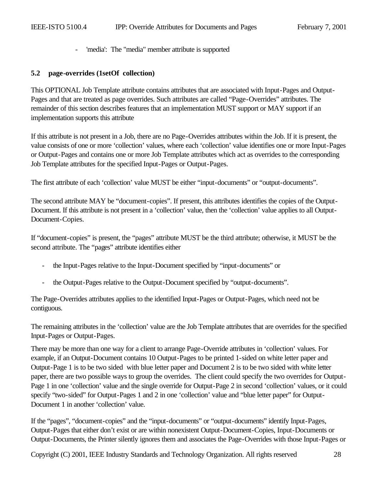- 'media': The "media" member attribute is supported

### **5.2 page-overrides (1setOf collection)**

This OPTIONAL Job Template attribute contains attributes that are associated with Input-Pages and Output-Pages and that are treated as page overrides. Such attributes are called "Page-Overrides" attributes. The remainder of this section describes features that an implementation MUST support or MAY support if an implementation supports this attribute

If this attribute is not present in a Job, there are no Page-Overrides attributes within the Job. If it is present, the value consists of one or more 'collection' values, where each 'collection' value identifies one or more Input-Pages or Output-Pages and contains one or more Job Template attributes which act as overrides to the corresponding Job Template attributes for the specified Input-Pages or Output-Pages.

The first attribute of each 'collection' value MUST be either "input-documents" or "output-documents".

The second attribute MAY be "document-copies". If present, this attributes identifies the copies of the Output-Document. If this attribute is not present in a 'collection' value, then the 'collection' value applies to all Output-Document-Copies.

If "document-copies" is present, the "pages" attribute MUST be the third attribute; otherwise, it MUST be the second attribute. The "pages" attribute identifies either

- the Input-Pages relative to the Input-Document specified by "input-documents" or
- the Output-Pages relative to the Output-Document specified by "output-documents".

The Page-Overrides attributes applies to the identified Input-Pages or Output-Pages, which need not be contiguous.

The remaining attributes in the 'collection' value are the Job Template attributes that are overrides for the specified Input-Pages or Output-Pages.

There may be more than one way for a client to arrange Page-Override attributes in 'collection' values. For example, if an Output-Document contains 10 Output-Pages to be printed 1-sided on white letter paper and Output-Page 1 is to be two sided with blue letter paper and Document 2 is to be two sided with white letter paper, there are two possible ways to group the overrides. The client could specify the two overrides for Output-Page 1 in one 'collection' value and the single override for Output-Page 2 in second 'collection' values, or it could specify "two-sided" for Output-Pages 1 and 2 in one 'collection' value and "blue letter paper" for Output-Document 1 in another 'collection' value.

If the "pages", "document-copies" and the "input-documents" or "output-documents" identify Input-Pages, Output-Pages that either don't exist or are within nonexistent Output-Document-Copies, Input-Documents or Output-Documents, the Printer silently ignores them and associates the Page-Overrides with those Input-Pages or

Copyright (C) 2001, IEEE Industry Standards and Technology Organization. All rights reserved 28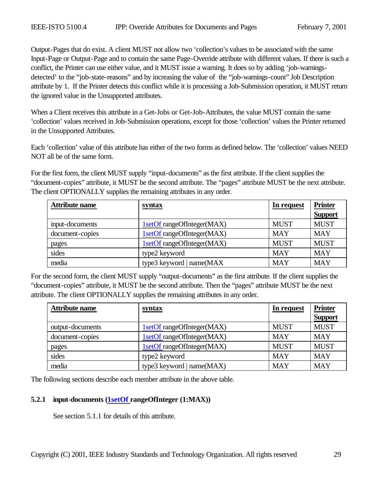Output-Pages that do exist. A client MUST not allow two 'collection's values to be associated with the same Input-Page or Output-Page and to contain the same Page-Override attribute with different values. If there is such a conflict, the Printer can use either value, and it MUST issue a warning. It does so by adding 'job-warningsdetected' to the "job-state-reasons" and by increasing the value of the "job-warnings-count" Job Description attribute by 1. If the Printer detects this conflict while it is processing a Job-Submission operation, it MUST return the ignored value in the Unsupported attributes.

When a Client receives this attribute in a Get-Jobs or Get-Job-Attributes, the value MUST contain the same 'collection' values received in Job-Submission operations, except for those 'collection' values the Printer returned in the Unsupported Attributes.

Each 'collection' value of this attribute has either of the two forms as defined below. The 'collection' values NEED NOT all be of the same form.

For the first form, the client MUST supply "input-documents" as the first attribute. If the client supplies the "document-copies" attribute, it MUST be the second attribute. The "pages" attribute MUST be the next attribute. The client OPTIONALLY supplies the remaining attributes in any order.

| <b>Attribute name</b> | syntax                     | In request  | <b>Printer</b> |
|-----------------------|----------------------------|-------------|----------------|
|                       |                            |             | <b>Support</b> |
| input-documents       | 1setOf rangeOfInteger(MAX) | <b>MUST</b> | <b>MUST</b>    |
| document-copies       | 1setOf rangeOfInteger(MAX) | <b>MAY</b>  | <b>MAY</b>     |
| pages                 | 1setOf rangeOfInteger(MAX) | <b>MUST</b> | <b>MUST</b>    |
| sides                 | type2 keyword              | <b>MAY</b>  | <b>MAY</b>     |
| media                 | type3 keyword   name(MAX   | <b>MAY</b>  | <b>MAY</b>     |

For the second form, the client MUST supply "output-documents" as the first attribute. If the client supplies the "document-copies" attribute, it MUST be the second attribute. Then the "pages" attribute MUST be the next attribute. The client OPTIONALLY supplies the remaining attributes in any order.

| <b>Attribute name</b> | syntax                     | In request  | <b>Printer</b> |
|-----------------------|----------------------------|-------------|----------------|
|                       |                            |             | <b>Support</b> |
| output-documents      | 1setOf rangeOfInteger(MAX) | <b>MUST</b> | <b>MUST</b>    |
| document-copies       | 1setOf rangeOfInteger(MAX) | <b>MAY</b>  | <b>MAY</b>     |
| pages                 | 1setOf rangeOfInteger(MAX) | <b>MUST</b> | <b>MUST</b>    |
| sides                 | type2 keyword              | <b>MAY</b>  | <b>MAY</b>     |
| media                 | type3 keyword   name(MAX)  | <b>MAY</b>  | <b>MAY</b>     |

The following sections describe each member attribute in the above table.

# **5.2.1 input-documents (1setOf rangeOfInteger (1:MAX))**

See section 5.1.1 for details of this attribute.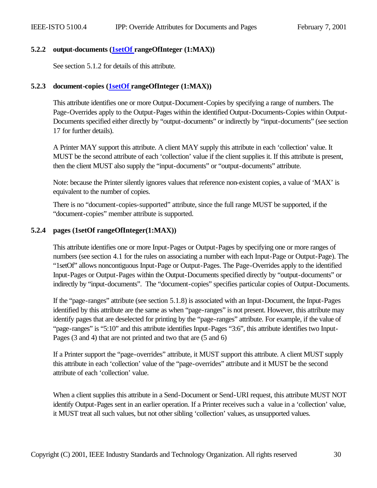### **5.2.2 output-documents (1setOf rangeOfInteger (1:MAX))**

See section 5.1.2 for details of this attribute.

### **5.2.3 document-copies (1setOf rangeOfInteger (1:MAX))**

This attribute identifies one or more Output-Document-Copies by specifying a range of numbers. The Page-Overrides apply to the Output-Pages within the identified Output-Documents-Copies within Output-Documents specified either directly by "output-documents" or indirectly by "input-documents" (see section 17 for further details).

A Printer MAY support this attribute. A client MAY supply this attribute in each 'collection' value. It MUST be the second attribute of each 'collection' value if the client supplies it. If this attribute is present, then the client MUST also supply the "input-documents" or "output-documents" attribute.

Note: because the Printer silently ignores values that reference non-existent copies, a value of 'MAX' is equivalent to the number of copies.

There is no "document-copies-supported" attribute, since the full range MUST be supported, if the "document-copies" member attribute is supported.

### **5.2.4 pages (1setOf rangeOfInteger(1:MAX))**

This attribute identifies one or more Input-Pages or Output-Pages by specifying one or more ranges of numbers (see section 4.1 for the rules on associating a number with each Input-Page or Output-Page). The "1setOf" allows noncontiguous Input-Page or Output-Pages. The Page-Overrides apply to the identified Input-Pages or Output-Pages within the Output-Documents specified directly by "output-documents" or indirectly by "input-documents". The "document-copies" specifies particular copies of Output-Documents.

If the "page-ranges" attribute (see section 5.1.8) is associated with an Input-Document, the Input-Pages identified by this attribute are the same as when "page-ranges" is not present. However, this attribute may identify pages that are deselected for printing by the "page-ranges" attribute. For example, if the value of "page-ranges" is "5:10" and this attribute identifies Input-Pages "3:6", this attribute identifies two Input-Pages (3 and 4) that are not printed and two that are (5 and 6)

If a Printer support the "page-overrides" attribute, it MUST support this attribute. A client MUST supply this attribute in each 'collection' value of the "page-overrides" attribute and it MUST be the second attribute of each 'collection' value.

When a client supplies this attribute in a Send-Document or Send-URI request, this attribute MUST NOT identify Output-Pages sent in an earlier operation. If a Printer receives such a value in a 'collection' value, it MUST treat all such values, but not other sibling 'collection' values, as unsupported values.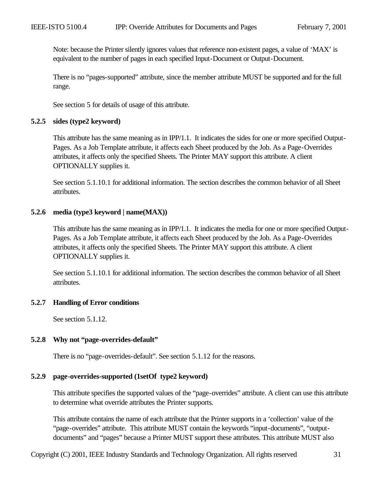Note: because the Printer silently ignores values that reference non-existent pages, a value of 'MAX' is equivalent to the number of pages in each specified Input-Document or Output-Document.

There is no "pages-supported" attribute, since the member attribute MUST be supported and for the full range.

See section 5 for details of usage of this attribute.

#### **5.2.5 sides (type2 keyword)**

This attribute has the same meaning as in IPP/1.1. It indicates the sides for one or more specified Output-Pages. As a Job Template attribute, it affects each Sheet produced by the Job. As a Page-Overrides attributes, it affects only the specified Sheets. The Printer MAY support this attribute. A client OPTIONALLY supplies it.

See section 5.1.10.1 for additional information. The section describes the common behavior of all Sheet attributes.

### **5.2.6 media (type3 keyword | name(MAX))**

This attribute has the same meaning as in IPP/1.1. It indicates the media for one or more specified Output-Pages. As a Job Template attribute, it affects each Sheet produced by the Job. As a Page-Overrides attributes, it affects only the specified Sheets. The Printer MAY support this attribute. A client OPTIONALLY supplies it.

See section 5.1.10.1 for additional information. The section describes the common behavior of all Sheet attributes.

#### **5.2.7 Handling of Error conditions**

See section 5.1.12.

### **5.2.8 Why not "page-overrides-default"**

There is no "page-overrides-default". See section 5.1.12 for the reasons.

### **5.2.9 page-overrides-supported (1setOf type2 keyword)**

This attribute specifies the supported values of the "page-overrides" attribute. A client can use this attribute to determine what override attributes the Printer supports.

This attribute contains the name of each attribute that the Printer supports in a 'collection' value of the "page-overrides" attribute. This attribute MUST contain the keywords "input-documents", "outputdocuments" and "pages" because a Printer MUST support these attributes. This attribute MUST also

Copyright (C) 2001, IEEE Industry Standards and Technology Organization. All rights reserved 31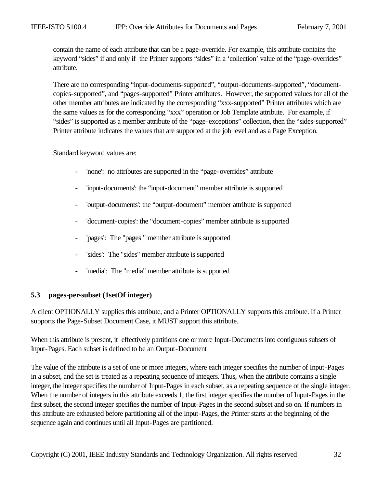contain the name of each attribute that can be a page-override. For example, this attribute contains the keyword "sides" if and only if the Printer supports "sides" in a 'collection' value of the "page-overrides" attribute.

There are no corresponding "input-documents-supported", "output-documents-supported", "documentcopies-supported", and "pages-supported" Printer attributes. However, the supported values for all of the other member attributes are indicated by the corresponding "xxx-supported" Printer attributes which are the same values as for the corresponding "xxx" operation or Job Template attribute. For example, if "sides" is supported as a member attribute of the "page-exceptions" collection, then the "sides-supported" Printer attribute indicates the values that are supported at the job level and as a Page Exception.

Standard keyword values are:

- 'none': no attributes are supported in the "page-overrides" attribute
- 'input-documents': the "input-document" member attribute is supported
- 'output-documents': the "output-document" member attribute is supported
- 'document-copies': the "document-copies" member attribute is supported
- 'pages': The "pages " member attribute is supported
- 'sides': The "sides" member attribute is supported
- 'media': The "media" member attribute is supported

# **5.3 pages-per-subset (1setOf integer)**

A client OPTIONALLY supplies this attribute, and a Printer OPTIONALLY supports this attribute. If a Printer supports the Page-Subset Document Case, it MUST support this attribute.

When this attribute is present, it effectively partitions one or more Input-Documents into contiguous subsets of Input-Pages. Each subset is defined to be an Output-Document

The value of the attribute is a set of one or more integers, where each integer specifies the number of Input-Pages in a subset, and the set is treated as a repeating sequence of integers. Thus, when the attribute contains a single integer, the integer specifies the number of Input-Pages in each subset, as a repeating sequence of the single integer. When the number of integers in this attribute exceeds 1, the first integer specifies the number of Input-Pages in the first subset, the second integer specifies the number of Input-Pages in the second subset and so on. If numbers in this attribute are exhausted before partitioning all of the Input-Pages, the Printer starts at the beginning of the sequence again and continues until all Input-Pages are partitioned.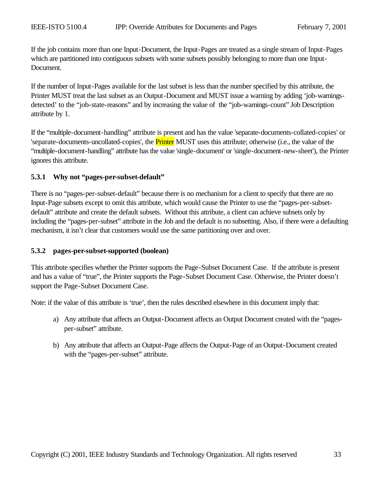If the job contains more than one Input-Document, the Input-Pages are treated as a single stream of Input-Pages which are partitioned into contiguous subsets with some subsets possibly belonging to more than one Input-Document.

If the number of Input-Pages available for the last subset is less than the number specified by this attribute, the Printer MUST treat the last subset as an Output-Document and MUST issue a warning by adding 'job-warningsdetected' to the "job-state-reasons" and by increasing the value of the "job-warnings-count" Job Description attribute by 1.

If the "multiple-document-handling" attribute is present and has the value 'separate-documents-collated-copies' or 'separate-documents-uncollated-copies', the **Printer** MUST uses this attribute; otherwise (i.e., the value of the "multiple-document-handling" attribute has the value 'single-document' or 'single-document-new-sheet'), the Printer ignores this attribute.

# **5.3.1 Why not "pages-per-subset-default"**

There is no "pages-per-subset-default" because there is no mechanism for a client to specify that there are no Input-Page subsets except to omit this attribute, which would cause the Printer to use the "pages-per-subsetdefault" attribute and create the default subsets. Without this attribute, a client can achieve subsets only by including the "pages-per-subset" attribute in the Job and the default is no subsetting. Also, if there were a defaulting mechanism, it isn't clear that customers would use the same partitioning over and over.

# **5.3.2 pages-per-subset-supported (boolean)**

This attribute specifies whether the Printer supports the Page-Subset Document Case. If the attribute is present and has a value of "true", the Printer supports the Page-Subset Document Case. Otherwise, the Printer doesn't support the Page-Subset Document Case.

Note: if the value of this attribute is 'true', then the rules described elsewhere in this document imply that:

- a) Any attribute that affects an Output-Document affects an Output Document created with the "pagesper-subset" attribute.
- b) Any attribute that affects an Output-Page affects the Output-Page of an Output-Document created with the "pages-per-subset" attribute.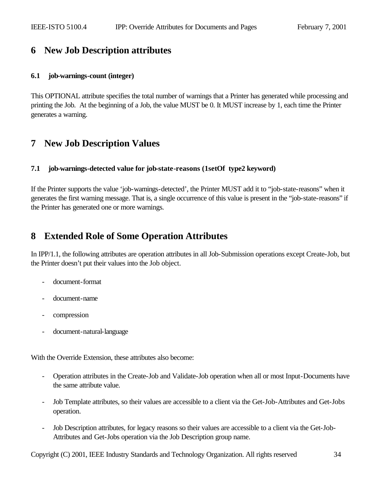# **6 New Job Description attributes**

### **6.1 job-warnings-count (integer)**

This OPTIONAL attribute specifies the total number of warnings that a Printer has generated while processing and printing the Job. At the beginning of a Job, the value MUST be 0. It MUST increase by 1, each time the Printer generates a warning.

# **7 New Job Description Values**

# **7.1 job-warnings-detected value for job-state-reasons (1setOf type2 keyword)**

If the Printer supports the value 'job-warnings-detected', the Printer MUST add it to "job-state-reasons" when it generates the first warning message. That is, a single occurrence of this value is present in the "job-state-reasons" if the Printer has generated one or more warnings.

# **8 Extended Role of Some Operation Attributes**

In IPP/1.1, the following attributes are operation attributes in all Job-Submission operations except Create-Job, but the Printer doesn't put their values into the Job object.

- document-format
- document-name
- compression
- document-natural-language

With the Override Extension, these attributes also become:

- Operation attributes in the Create-Job and Validate-Job operation when all or most Input-Documents have the same attribute value.
- Job Template attributes, so their values are accessible to a client via the Get-Job-Attributes and Get-Jobs operation.
- Job Description attributes, for legacy reasons so their values are accessible to a client via the Get-Job-Attributes and Get-Jobs operation via the Job Description group name.

Copyright (C) 2001, IEEE Industry Standards and Technology Organization. All rights reserved 34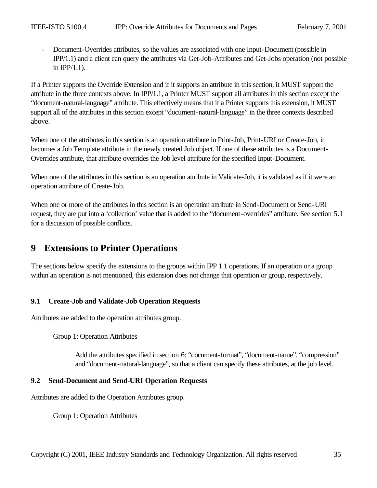- Document-Overrides attributes, so the values are associated with one Input-Document (possible in IPP/1.1) and a client can query the attributes via Get-Job-Attributes and Get-Jobs operation (not possible in IPP/1.1).

If a Printer supports the Override Extension and if it supports an attribute in this section, it MUST support the attribute in the three contexts above. In IPP/1.1, a Printer MUST support all attributes in this section except the "document-natural-language" attribute. This effectively means that if a Printer supports this extension, it MUST support all of the attributes in this section except "document-natural-language" in the three contexts described above.

When one of the attributes in this section is an operation attribute in Print-Job, Print-URI or Create-Job, it becomes a Job Template attribute in the newly created Job object. If one of these attributes is a Document-Overrides attribute, that attribute overrides the Job level attribute for the specified Input-Document.

When one of the attributes in this section is an operation attribute in Validate-Job, it is validated as if it were an operation attribute of Create-Job.

When one or more of the attributes in this section is an operation attribute in Send-Document or Send-URI request, they are put into a 'collection' value that is added to the "document-overrides" attribute. See section 5.1 for a discussion of possible conflicts.

# **9 Extensions to Printer Operations**

The sections below specify the extensions to the groups within IPP 1.1 operations. If an operation or a group within an operation is not mentioned, this extension does not change that operation or group, respectively.

# **9.1 Create-Job and Validate-Job Operation Requests**

Attributes are added to the operation attributes group.

Group 1: Operation Attributes

Add the attributes specified in section 6: "document-format", "document-name", "compression" and "document-natural-language", so that a client can specify these attributes, at the job level.

# **9.2 Send-Document and Send-URI Operation Requests**

Attributes are added to the Operation Attributes group.

Group 1: Operation Attributes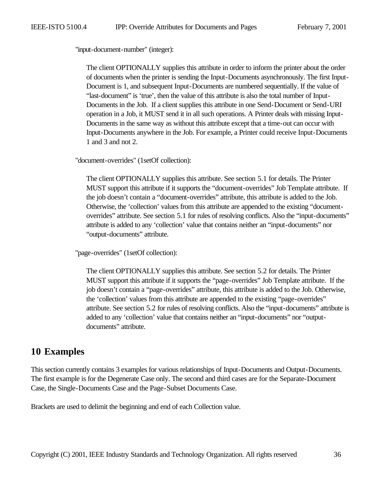"input-document-number" (integer):

The client OPTIONALLY supplies this attribute in order to inform the printer about the order of documents when the printer is sending the Input-Documents asynchronously. The first Input-Document is 1, and subsequent Input-Documents are numbered sequentially. If the value of "last-document" is 'true', then the value of this attribute is also the total number of Input-Documents in the Job. If a client supplies this attribute in one Send-Document or Send-URI operation in a Job, it MUST send it in all such operations. A Printer deals with missing Input-Documents in the same way as without this attribute except that a time-out can occur with Input-Documents anywhere in the Job. For example, a Printer could receive Input-Documents 1 and 3 and not 2.

"document-overrides" (1setOf collection):

The client OPTIONALLY supplies this attribute. See section 5.1 for details. The Printer MUST support this attribute if it supports the "document-overrides" Job Template attribute. If the job doesn't contain a "document-overrides" attribute, this attribute is added to the Job. Otherwise, the 'collection' values from this attribute are appended to the existing "documentoverrides" attribute. See section 5.1 for rules of resolving conflicts. Also the "input-documents" attribute is added to any 'collection' value that contains neither an "input-documents" nor "output-documents" attribute.

"page-overrides" (1setOf collection):

The client OPTIONALLY supplies this attribute. See section 5.2 for details. The Printer MUST support this attribute if it supports the "page-overrides" Job Template attribute. If the job doesn't contain a "page-overrides" attribute, this attribute is added to the Job. Otherwise, the 'collection' values from this attribute are appended to the existing "page-overrides" attribute. See section 5.2 for rules of resolving conflicts. Also the "input-documents" attribute is added to any 'collection' value that contains neither an "input-documents" nor "outputdocuments" attribute.

# **10 Examples**

This section currently contains 3 examples for various relationships of Input-Documents and Output-Documents. The first example is for the Degenerate Case only. The second and third cases are for the Separate-Document Case, the Single-Documents Case and the Page-Subset Documents Case.

Brackets are used to delimit the beginning and end of each Collection value.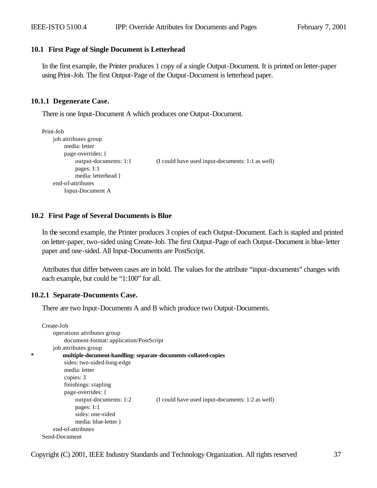#### **10.1 First Page of Single Document is Letterhead**

In the first example, the Printer produces 1 copy of a single Output-Document. It is printed on letter-paper using Print-Job. The first Output-Page of the Output-Document is letterhead paper.

### **10.1.1 Degenerate Case.**

There is one Input-Document A which produces one Output-Document.

```
Print-Job
    job attributes group
        media: letter
        page-overrides: {
             output-documents: 1:1 (I could have used input-documents: 1:1 as well)
             pages: 1:1
             media: letterhead }
    end-of-attributes
        Input-Document A
```
### **10.2 First Page of Several Documents is Blue**

In the second example, the Printer produces 3 copies of each Output-Document. Each is stapled and printed on letter-paper, two-sided using Create-Job. The first Output-Page of each Output-Document is blue-letter paper and one-sided. All Input-Documents are PostScript.

Attributes that differ between cases are in bold. The values for the attribute "input-documents" changes with each example, but could be "1:100" for all.

#### **10.2.1 Separate-Documents Case.**

There are two Input-Documents A and B which produce two Output-Documents.

```
Create-Job
    operations attributes group
        document-format: application/PostScript
    job attributes group
        * multiple-document-handling: separate-documents-collated-copies
        sides: two-sided-long-edge
        media: letter
        copies: 3
        finishings: stapling
        page-overrides: {
             output-documents: 1:2 (I could have used input-documents: 1:2 as well)
             pages: 1:1
             sides: one-sided
             media: blue-letter }
    end-of-attributes
Send-Document
```
Copyright (C) 2001, IEEE Industry Standards and Technology Organization. All rights reserved 37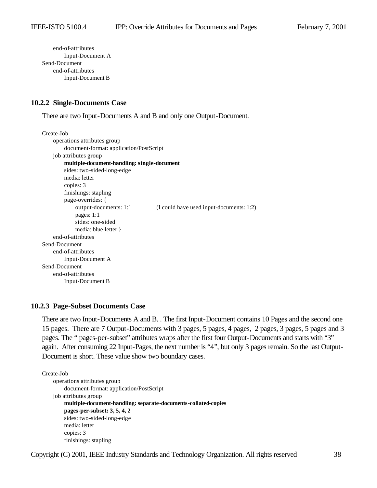end-of-attributes Input-Document A Send-Document end-of-attributes Input-Document B

#### **10.2.2 Single-Documents Case**

There are two Input-Documents A and B and only one Output-Document.

```
Create-Job
    operations attributes group
        document-format: application/PostScript
    job attributes group
        multiple-document-handling: single-document
        sides: two-sided-long-edge
        media: letter
        copies: 3
        finishings: stapling
        page-overrides: {
             output-documents: 1:1 (I could have used input-documents: 1:2)
             pages: 1:1
             sides: one-sided
             media: blue-letter }
    end-of-attributes
Send-Document
    end-of-attributes
        Input-Document A 
Send-Document
    end-of-attributes
        Input-Document B
```
### **10.2.3 Page-Subset Documents Case**

There are two Input-Documents A and B. . The first Input-Document contains 10 Pages and the second one 15 pages. There are 7 Output-Documents with 3 pages, 5 pages, 4 pages, 2 pages, 3 pages, 5 pages and 3 pages. The " pages-per-subset" attributes wraps after the first four Output-Documents and starts with "3" again. After consuming 22 Input-Pages, the next number is "4", but only 3 pages remain. So the last Output-Document is short. These value show two boundary cases.

#### Create-Job

```
operations attributes group
    document-format: application/PostScript
job attributes group
    multiple-document-handling: separate-documents-collated-copies
    pages-per-subset: 3, 5, 4, 2
    sides: two-sided-long-edge
    media: letter
    copies: 3
    finishings: stapling
```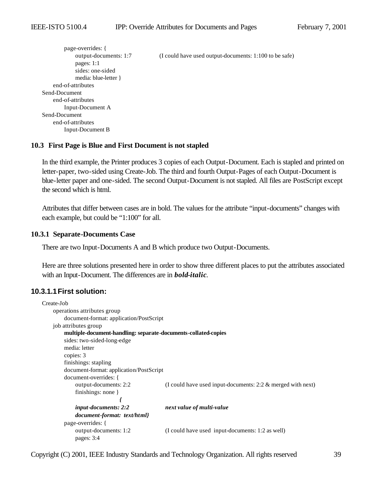```
page-overrides: {
            output-documents: 1:7 (I could have used output-documents: 1:100 to be safe)
            pages: 1:1 
            sides: one-sided
            media: blue-letter }
    end-of-attributes
Send-Document
    end-of-attributes
        Input-Document A 
Send-Document
    end-of-attributes
        Input-Document B
```
### **10.3 First Page is Blue and First Document is not stapled**

In the third example, the Printer produces 3 copies of each Output-Document. Each is stapled and printed on letter-paper, two-sided using Create-Job. The third and fourth Output-Pages of each Output-Document is blue-letter paper and one-sided. The second Output-Document is not stapled. All files are PostScript except the second which is html.

Attributes that differ between cases are in bold. The values for the attribute "input-documents" changes with each example, but could be "1:100" for all.

### **10.3.1 Separate-Documents Case**

There are two Input-Documents A and B which produce two Output-Documents.

Here are three solutions presented here in order to show three different places to put the attributes associated with an Input-Document. The differences are in *bold-italic*.

# **10.3.1.1First solution:**

```
Create-Job
    operations attributes group
        document-format: application/PostScript
    job attributes group
        multiple-document-handling: separate-documents-collated-copies
        sides: two-sided-long-edge
        media: letter
        copies: 3
        finishings: stapling
        document-format: application/PostScript
        document-overrides: {
            output-documents: 2:2 (I could have used input-documents: 2:2 & merged with next)
            finishings: none }
                            {
            input-documents: 2:2 next value of multi-value
            document-format: text/html}
        page-overrides: {
            output-documents: 1:2 (I could have used input-documents: 1:2 as well)
            pages: 3:4
```
Copyright (C) 2001, IEEE Industry Standards and Technology Organization. All rights reserved 39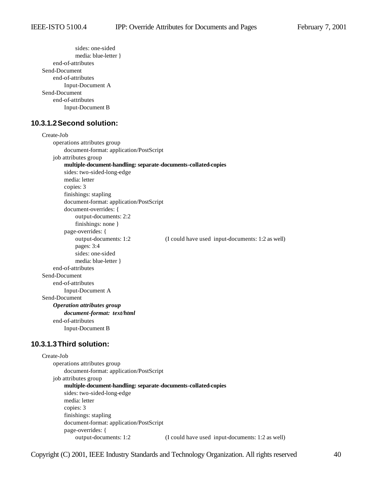```
sides: one-sided
             media: blue-letter }
    end-of-attributes
Send-Document
    end-of-attributes
        Input-Document A 
Send-Document
    end-of-attributes
        Input-Document B
```
# **10.3.1.2Second solution:**

```
Create-Job
    operations attributes group
        document-format: application/PostScript
    job attributes group
        multiple-document-handling: separate-documents-collated-copies
        sides: two-sided-long-edge
        media: letter
        copies: 3
        finishings: stapling
        document-format: application/PostScript
        document-overrides: {
             output-documents: 2:2 
             finishings: none }
        page-overrides: {
             output-documents: 1:2 (I could have used input-documents: 1:2 as well)
             pages: 3:4
             sides: one-sided
             media: blue-letter }
    end-of-attributes
Send-Document
    end-of-attributes
        Input-Document A 
Send-Document
    Operation attributes group
        document-format: text/html
    end-of-attributes
        Input-Document B
```
#### **10.3.1.3Third solution:**

```
Create-Job
    operations attributes group
        document-format: application/PostScript
    job attributes group
        multiple-document-handling: separate-documents-collated-copies
        sides: two-sided-long-edge
        media: letter
        copies: 3
        finishings: stapling
        document-format: application/PostScript
        page-overrides: {
            output-documents: 1:2 (I could have used input-documents: 1:2 as well)
```
Copyright (C) 2001, IEEE Industry Standards and Technology Organization. All rights reserved 40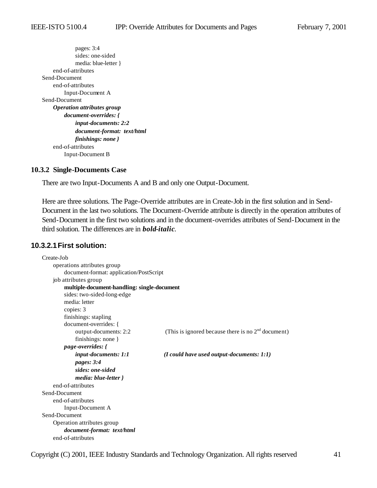pages: 3:4 sides: one-sided media: blue-letter } end-of-attributes Send-Document end-of-attributes Input-Document A Send-Document *Operation attributes group document-overrides: { input-documents: 2:2 document-format: text/html finishings: none }* end-of-attributes Input-Document B

#### **10.3.2 Single-Documents Case**

There are two Input-Documents A and B and only one Output-Document.

Here are three solutions. The Page-Override attributes are in Create-Job in the first solution and in Send-Document in the last two solutions. The Document-Override attribute is directly in the operation attributes of Send-Document in the first two solutions and in the document-overrides attributes of Send-Document in the third solution. The differences are in *bold-italic*.

### **10.3.2.1First solution:**

| Create-Job                                  |                                                      |
|---------------------------------------------|------------------------------------------------------|
| operations attributes group                 |                                                      |
| document-format: application/PostScript     |                                                      |
| job attributes group                        |                                                      |
| multiple-document-handling: single-document |                                                      |
| sides: two-sided-long-edge                  |                                                      |
| media: letter                               |                                                      |
| copies: 3                                   |                                                      |
| finishings: stapling                        |                                                      |
| document-overrides: {                       |                                                      |
| output-documents: 2:2                       | (This is ignored because there is no $2nd$ document) |
| finishings: none $\}$                       |                                                      |
| <i>page-overrides:</i> {                    |                                                      |
| input-documents: 1:1                        | $(I \text{ could have used output-documents: } 1:1)$ |
| pages: 3:4                                  |                                                      |
| sides: one-sided                            |                                                      |
| media: blue-letter }                        |                                                      |
| end-of-attributes                           |                                                      |
| Send-Document                               |                                                      |
| end-of-attributes                           |                                                      |
| Input-Document A                            |                                                      |
| Send-Document                               |                                                      |
| Operation attributes group                  |                                                      |
| document-format: text/html                  |                                                      |
| end-of-attributes                           |                                                      |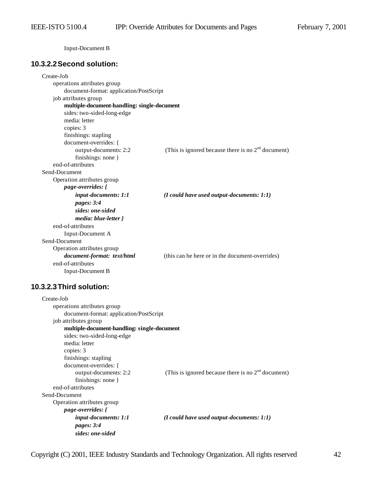Input-Document B

# **10.3.2.2Second solution:**

| Create-Job                                  |                                                      |  |
|---------------------------------------------|------------------------------------------------------|--|
| operations attributes group                 |                                                      |  |
| document-format: application/PostScript     |                                                      |  |
| job attributes group                        |                                                      |  |
| multiple-document-handling: single-document |                                                      |  |
| sides: two-sided-long-edge                  |                                                      |  |
| media: letter                               |                                                      |  |
| copies: 3                                   |                                                      |  |
| finishings: stapling                        |                                                      |  |
| document-overrides: {                       |                                                      |  |
| output-documents: 2:2                       | (This is ignored because there is no $2nd$ document) |  |
| finishings: none }                          |                                                      |  |
| end-of-attributes                           |                                                      |  |
| Send-Document                               |                                                      |  |
| Operation attributes group                  |                                                      |  |
| page-overrides: {                           |                                                      |  |
| input-documents: 1:1                        | $(I$ could have used output-documents: $1:1)$        |  |
| pages: 3:4                                  |                                                      |  |
| sides: one-sided                            |                                                      |  |
| media: blue-letter }                        |                                                      |  |
| end-of-attributes                           |                                                      |  |
| Input-Document A                            |                                                      |  |
| Send-Document                               |                                                      |  |
| Operation attributes group                  |                                                      |  |
| document-format: text/html                  | (this can be here or in the document-overrides)      |  |
| end-of-attributes                           |                                                      |  |
| Input-Document B                            |                                                      |  |

# **10.3.2.3Third solution:**

| Create-Job                                  |                                                      |
|---------------------------------------------|------------------------------------------------------|
| operations attributes group                 |                                                      |
| document-format: application/PostScript     |                                                      |
| job attributes group                        |                                                      |
| multiple-document-handling: single-document |                                                      |
| sides: two-sided-long-edge                  |                                                      |
| media: letter                               |                                                      |
| copies: 3                                   |                                                      |
| finishings: stapling                        |                                                      |
| document-overrides: {                       |                                                      |
| output-documents: 2:2                       | (This is ignored because there is no $2nd$ document) |
| finishings: none $\}$                       |                                                      |
| end-of-attributes                           |                                                      |
| Send-Document                               |                                                      |
| Operation attributes group                  |                                                      |
| <i>page-overrides: {</i>                    |                                                      |
| <i>input-documents: 1:1</i>                 | $(I \text{ could have used output-documents: } 1:1)$ |
| pages: 3:4                                  |                                                      |
| sides: one-sided                            |                                                      |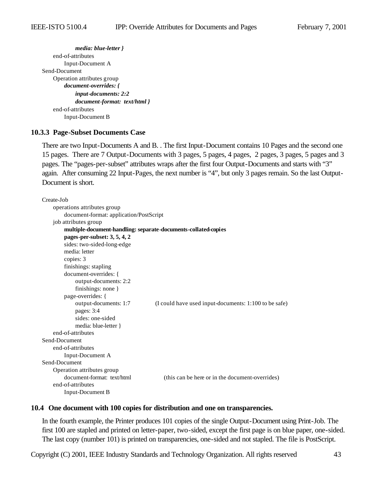*media: blue-letter }* end-of-attributes Input-Document A Send-Document Operation attributes group *document-overrides: { input-documents: 2:2 document-format: text/html }* end-of-attributes Input-Document B

### **10.3.3 Page-Subset Documents Case**

There are two Input-Documents A and B. . The first Input-Document contains 10 Pages and the second one 15 pages. There are 7 Output-Documents with 3 pages, 5 pages, 4 pages, 2 pages, 3 pages, 5 pages and 3 pages. The "pages-per-subset" attributes wraps after the first four Output-Documents and starts with "3" again. After consuming 22 Input-Pages, the next number is "4", but only 3 pages remain. So the last Output-Document is short.

```
Create-Job
    operations attributes group
        document-format: application/PostScript
    job attributes group
        multiple-document-handling: separate-documents-collated-copies
        pages-per-subset: 3, 5, 4, 2
        sides: two-sided-long-edge
        media: letter
        copies: 3
        finishings: stapling
        document-overrides: {
             output-documents: 2:2 
             finishings: none }
        page-overrides: {
             output-documents: 1:7 (I could have used input-documents: 1:100 to be safe)
             pages: 3:4
             sides: one-sided
             media: blue-letter }
    end-of-attributes
Send-Document
    end-of-attributes
        Input-Document A 
Send-Document
    Operation attributes group
        document-format: text/html (this can be here or in the document-overrides)
    end-of-attributes
        Input-Document B
```
#### **10.4 One document with 100 copies for distribution and one on transparencies.**

In the fourth example, the Printer produces 101 copies of the single Output-Document using Print-Job. The first 100 are stapled and printed on letter-paper, two-sided, except the first page is on blue paper, one-sided. The last copy (number 101) is printed on transparencies, one-sided and not stapled. The file is PostScript.

Copyright (C) 2001, IEEE Industry Standards and Technology Organization. All rights reserved 43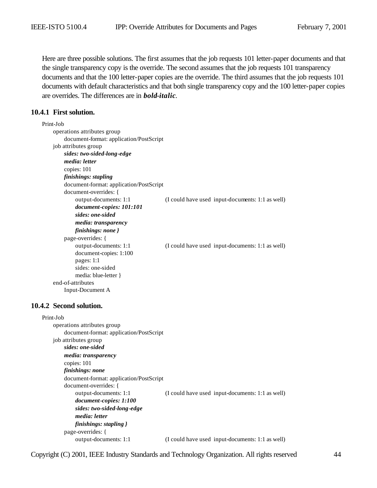Here are three possible solutions. The first assumes that the job requests 101 letter-paper documents and that the single transparency copy is the override. The second assumes that the job requests 101 transparency documents and that the 100 letter-paper copies are the override. The third assumes that the job requests 101 documents with default characteristics and that both single transparency copy and the 100 letter-paper copies are overrides. The differences are in *bold-italic*.

### **10.4.1 First solution.**

| Print-Job                               |                                                  |
|-----------------------------------------|--------------------------------------------------|
| operations attributes group             |                                                  |
| document-format: application/PostScript |                                                  |
| job attributes group                    |                                                  |
| sides: two-sided-long-edge              |                                                  |
| media: letter                           |                                                  |
| copies: 101                             |                                                  |
| finishings: stapling                    |                                                  |
| document-format: application/PostScript |                                                  |
| document-overrides: {                   |                                                  |
| output-documents: 1:1                   | (I could have used input-documents: 1:1 as well) |
| document-copies: 101:101                |                                                  |
| sides: one-sided                        |                                                  |
| media: transparency                     |                                                  |
| finishings: none }                      |                                                  |
| page-overrides: {                       |                                                  |
| output-documents: 1:1                   | (I could have used input-documents: 1:1 as well) |
| document-copies: 1:100                  |                                                  |
| pages: 1:1                              |                                                  |
| sides: one-sided                        |                                                  |
| media: blue-letter }                    |                                                  |
| end-of-attributes                       |                                                  |
| Input-Document A                        |                                                  |
|                                         |                                                  |
| 10.4.2 Second solution.                 |                                                  |

#### Print-Job operations attributes group document-format: application/PostScript job attributes group *sides: one-sided media: transparency* copies: 101 *finishings: none* document-format: application/PostScript document-overrides: { output-documents: 1:1 (I could have used input-documents: 1:1 as well) *document-copies: 1:100 sides: two-sided-long-edge media: letter finishings: stapling }* page-overrides: { output-documents: 1:1 (I could have used input-documents: 1:1 as well)

Copyright (C) 2001, IEEE Industry Standards and Technology Organization. All rights reserved 44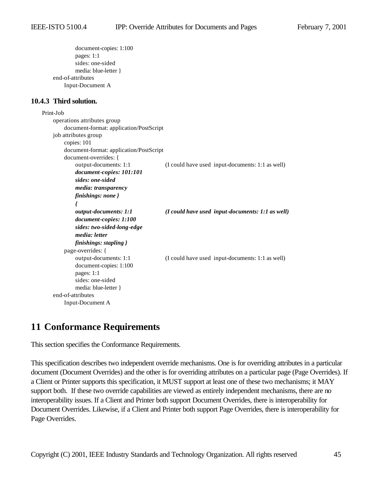```
document-copies: 1:100 
                pages: 1:1
                sides: one-sided
                media: blue-letter }
        end-of-attributes
            Input-Document A 
10.4.3 Third solution.
    Print-Job
        operations attributes group
            document-format: application/PostScript
        job attributes group
            copies: 101
            document-format: application/PostScript
            document-overrides: {
                output-documents: 1:1 (I could have used input-documents: 1:1 as well) 
                document-copies: 101:101 
                sides: one-sided
                media: transparency 
                finishings: none }
                {
                output-documents: 1:1 (I could have used input-documents: 1:1 as well) 
                document-copies: 1:100 
                sides: two-sided-long-edge
                media: letter 
                finishings: stapling }
            page-overrides: {
                output-documents: 1:1 (I could have used input-documents: 1:1 as well)
                document-copies: 1:100 
                pages: 1:1
                sides: one-sided
                media: blue-letter }
        end-of-attributes
            Input-Document A
```
# **11 Conformance Requirements**

This section specifies the Conformance Requirements.

This specification describes two independent override mechanisms. One is for overriding attributes in a particular document (Document Overrides) and the other is for overriding attributes on a particular page (Page Overrides). If a Client or Printer supports this specification, it MUST support at least one of these two mechanisms; it MAY support both. If these two override capabilities are viewed as entirely independent mechanisms, there are no interoperability issues. If a Client and Printer both support Document Overrides, there is interoperability for Document Overrides. Likewise, if a Client and Printer both support Page Overrides, there is interoperability for Page Overrides.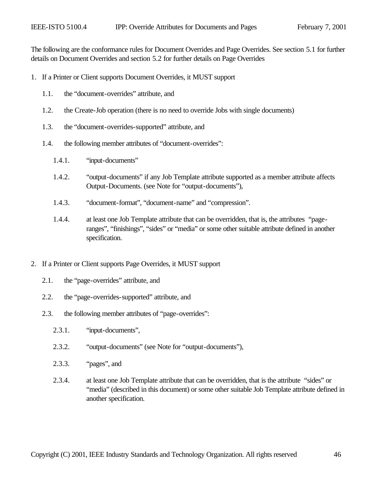The following are the conformance rules for Document Overrides and Page Overrides. See section 5.1 for further details on Document Overrides and section 5.2 for further details on Page Overrides

- 1. If a Printer or Client supports Document Overrides, it MUST support
	- 1.1. the "document-overrides" attribute, and
	- 1.2. the Create-Job operation (there is no need to override Jobs with single documents)
	- 1.3. the "document-overrides-supported" attribute, and
	- 1.4. the following member attributes of "document-overrides":
		- 1.4.1. "input-documents"
		- 1.4.2. "output-documents" if any Job Template attribute supported as a member attribute affects Output-Documents. (see Note for "output-documents"),
		- 1.4.3. "document-format", "document-name" and "compression".
		- 1.4.4. at least one Job Template attribute that can be overridden, that is, the attributes "pageranges", "finishings", "sides" or "media" or some other suitable attribute defined in another specification.
- 2. If a Printer or Client supports Page Overrides, it MUST support
	- 2.1. the "page-overrides" attribute, and
	- 2.2. the "page-overrides-supported" attribute, and
	- 2.3. the following member attributes of "page-overrides":
		- 2.3.1. "input-documents",
		- 2.3.2. "output-documents" (see Note for "output-documents"),
		- 2.3.3. "pages", and
		- 2.3.4. at least one Job Template attribute that can be overridden, that is the attribute "sides" or "media" (described in this document) or some other suitable Job Template attribute defined in another specification.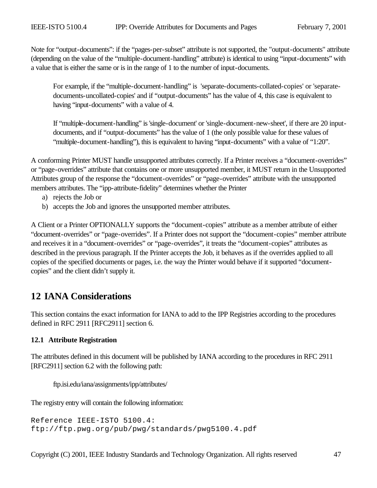Note for "output-documents": if the "pages-per-subset" attribute is not supported, the "output-documents" attribute (depending on the value of the "multiple-document-handling" attribute) is identical to using "input-documents" with a value that is either the same or is in the range of 1 to the number of input-documents.

For example, if the "multiple-document-handling" is 'separate-documents-collated-copies' or 'separatedocuments-uncollated-copies' and if "output-documents" has the value of 4, this case is equivalent to having "input-documents" with a value of 4.

If "multiple-document-handling" is 'single-document' or 'single-document-new-sheet', if there are 20 inputdocuments, and if "output-documents" has the value of 1 (the only possible value for these values of "multiple-document-handling"), this is equivalent to having "input-documents" with a value of "1:20".

A conforming Printer MUST handle unsupported attributes correctly. If a Printer receives a "document-overrides" or "page-overrides" attribute that contains one or more unsupported member, it MUST return in the Unsupported Attributes group of the response the "document-overrides" or "page-overrides" attribute with the unsupported members attributes. The "ipp-attribute-fidelity" determines whether the Printer

- a) rejects the Job or
- b) accepts the Job and ignores the unsupported member attributes.

A Client or a Printer OPTIONALLY supports the "document-copies" attribute as a member attribute of either "document-overrides" or "page-overrides". If a Printer does not support the "document-copies" member attribute and receives it in a "document-overrides" or "page-overrides", it treats the "document-copies" attributes as described in the previous paragraph. If the Printer accepts the Job, it behaves as if the overrides applied to all copies of the specified documents or pages, i.e. the way the Printer would behave if it supported "documentcopies" and the client didn't supply it.

# **12 IANA Considerations**

This section contains the exact information for IANA to add to the IPP Registries according to the procedures defined in RFC 2911 [RFC2911] section 6.

# **12.1 Attribute Registration**

The attributes defined in this document will be published by IANA according to the procedures in RFC 2911 [RFC2911] section 6.2 with the following path:

ftp.isi.edu/iana/assignments/ipp/attributes/

The registry entry will contain the following information:

Reference IEEE-ISTO 5100.4: ftp://ftp.pwg.org/pub/pwg/standards/pwg5100.4.pdf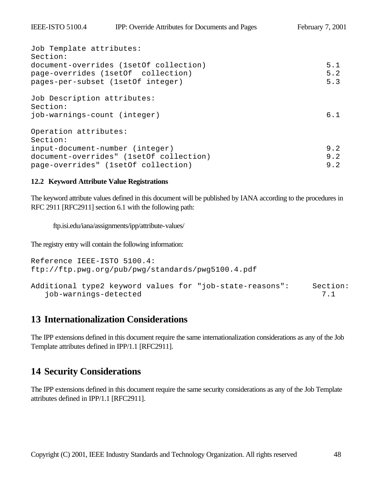| Job Template attributes:                |     |
|-----------------------------------------|-----|
| Section:                                |     |
| document-overrides (1setOf collection)  | 5.1 |
| page-overrides (1setOf collection)      | 5.2 |
| pages-per-subset (1setOf integer)       | 5.3 |
| Job Description attributes:             |     |
| Section:                                |     |
| job-warnings-count (integer)            | 6.1 |
| Operation attributes:                   |     |
| Section:                                |     |
| input-document-number (integer)         | 9.2 |
| document-overrides" (1setOf collection) | 9.2 |
| page-overrides" (1setOf collection)     | 9.2 |

### **12.2 Keyword Attribute Value Registrations**

The keyword attribute values defined in this document will be published by IANA according to the procedures in RFC 2911 [RFC2911] section 6.1 with the following path:

ftp.isi.edu/iana/assignments/ipp/attribute-values/

The registry entry will contain the following information:

```
Reference IEEE-ISTO 5100.4: 
ftp://ftp.pwg.org/pub/pwg/standards/pwg5100.4.pdf
Additional type2 keyword values for "job-state-reasons": Section:
   job-warnings-detected 7.1
```
# **13 Internationalization Considerations**

The IPP extensions defined in this document require the same internationalization considerations as any of the Job Template attributes defined in IPP/1.1 [RFC2911].

# **14 Security Considerations**

The IPP extensions defined in this document require the same security considerations as any of the Job Template attributes defined in IPP/1.1 [RFC2911].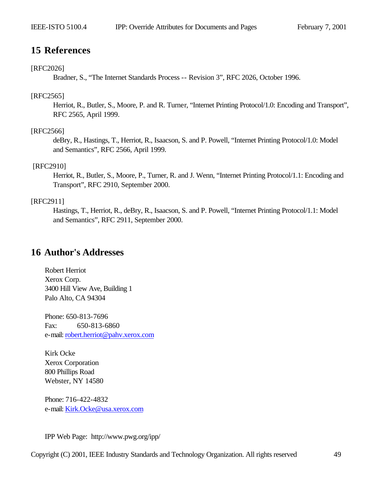# **15 References**

### [RFC2026]

Bradner, S., "The Internet Standards Process -- Revision 3", RFC 2026, October 1996.

#### [RFC2565]

Herriot, R., Butler, S., Moore, P. and R. Turner, "Internet Printing Protocol/1.0: Encoding and Transport", RFC 2565, April 1999.

### [RFC2566]

deBry, R., Hastings, T., Herriot, R., Isaacson, S. and P. Powell, "Internet Printing Protocol/1.0: Model and Semantics", RFC 2566, April 1999.

#### [RFC2910]

Herriot, R., Butler, S., Moore, P., Turner, R. and J. Wenn, "Internet Printing Protocol/1.1: Encoding and Transport", RFC 2910, September 2000.

# [RFC2911]

Hastings, T., Herriot, R., deBry, R., Isaacson, S. and P. Powell, "Internet Printing Protocol/1.1: Model and Semantics", RFC 2911, September 2000.

# **16 Author's Addresses**

Robert Herriot Xerox Corp. 3400 Hill View Ave, Building 1 Palo Alto, CA 94304

Phone: 650-813-7696 Fax: 650-813-6860 e-mail: robert.herriot@pahv.xerox.com

Kirk Ocke Xerox Corporation 800 Phillips Road Webster, NY 14580

Phone: 716-422-4832 e-mail: Kirk.Ocke@usa.xerox.com

IPP Web Page: http://www.pwg.org/ipp/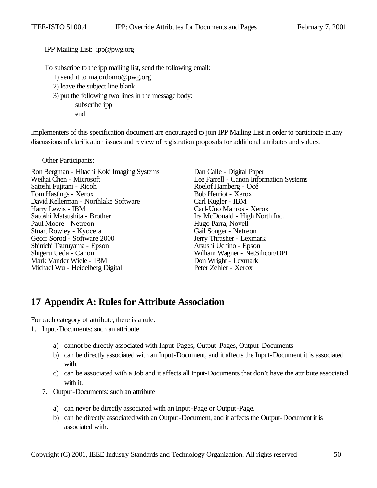IPP Mailing List: ipp@pwg.org

To subscribe to the ipp mailing list, send the following email:

- 1) send it to majordomo@pwg.org
- 2) leave the subject line blank
- 3) put the following two lines in the message body:

subscribe ipp

end

Implementers of this specification document are encouraged to join IPP Mailing List in order to participate in any discussions of clarification issues and review of registration proposals for additional attributes and values.

Other Participants:

Ron Bergman - Hitachi Koki Imaging Systems<br>
Veihai Chen - Microsoft<br>
Lee Farrell - Canon Inform Satoshi Fujitani - Ricoh Roelof Hamberg - Och Roelof Hamberg - Och Roelof Hamberg - Och Roelof Hamberg - Och Roelof Hamberg - Och Roelof Hamberg - Och Roelof Hamberg - Och Roelof Hamberg - Och Roelof Hamberg - Och Roelof H Tom Hastings - Xerox Bob Herriot - Xero<br>
David Kellerman - Northlake Software Carl Kugler - IBM David Kellerman - Northlake Software<br>Harry Lewis - IBM Satoshi Matsushita - Brother Ira McDonald - High North Inc.<br>Paul Moore - Netreon Hugo Parra, Novell Paul Moore - Netreon Hugo Parra, Novell<br>
Stuart Rowley - Kyocera Gail Songer - Netreon Stuart Rowley - Kyocera<br>
Gail Songer - Netreon<br>
Gail Songer - Netreon<br>
Jerry Thrasher - Lexmark Geoff Sorod - Software 2000 Jerry Thrasher - Lexman Shinichi Tsuruyama - Epson Atsushi Uchino - Epson Shinichi Tsuruyama - Epson<br>Shigeru Ueda - Canon Mark Vander Wiele - IBM<br>
Michael Wu - Heidelberg Digital<br>
Peter Zehler - Xerox Michael Wu - Heidelberg Digital

Lee Farrell - Canon Information Systems<br>Roelof Hamberg - Océ Carl-Uno Manros - Xerox William Wagner - NetSilicon/DPI<br>Don Wright - Lexmark

# **17 Appendix A: Rules for Attribute Association**

For each category of attribute, there is a rule:

- 1. Input-Documents: such an attribute
	- a) cannot be directly associated with Input-Pages, Output-Pages, Output-Documents
	- b) can be directly associated with an Input-Document, and it affects the Input-Document it is associated with.
	- c) can be associated with a Job and it affects all Input-Documents that don't have the attribute associated with it.
	- 7. Output-Documents: such an attribute
		- a) can never be directly associated with an Input-Page or Output-Page.
		- b) can be directly associated with an Output-Document, and it affects the Output-Document it is associated with.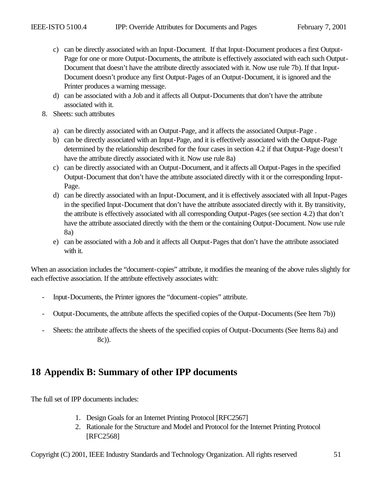- c) can be directly associated with an Input-Document. If that Input-Document produces a first Output-Page for one or more Output-Documents, the attribute is effectively associated with each such Output-Document that doesn't have the attribute directly associated with it. Now use rule 7b). If that Input-Document doesn't produce any first Output-Pages of an Output-Document, it is ignored and the Printer produces a warning message.
- d) can be associated with a Job and it affects all Output-Documents that don't have the attribute associated with it.
- 8. Sheets: such attributes
	- a) can be directly associated with an Output-Page, and it affects the associated Output-Page .
	- b) can be directly associated with an Input-Page, and it is effectively associated with the Output-Page determined by the relationship described for the four cases in section 4.2 if that Output-Page doesn't have the attribute directly associated with it. Now use rule 8a)
	- c) can be directly associated with an Output-Document, and it affects all Output-Pages in the specified Output-Document that don't have the attribute associated directly with it or the corresponding Input-Page.
	- d) can be directly associated with an Input-Document, and it is effectively associated with all Input-Pages in the specified Input-Document that don't have the attribute associated directly with it. By transitivity, the attribute is effectively associated with all corresponding Output-Pages (see section 4.2) that don't have the attribute associated directly with the them or the containing Output-Document. Now use rule 8a)
	- e) can be associated with a Job and it affects all Output-Pages that don't have the attribute associated with it.

When an association includes the "document-copies" attribute, it modifies the meaning of the above rules slightly for each effective association. If the attribute effectively associates with:

- Input-Documents, the Printer ignores the "document-copies" attribute.
- Output-Documents, the attribute affects the specified copies of the Output-Documents (See Item 7b))
- Sheets: the attribute affects the sheets of the specified copies of Output-Documents (See Items 8a) and 8c)).

# **18 Appendix B: Summary of other IPP documents**

The full set of IPP documents includes:

- 1. Design Goals for an Internet Printing Protocol [RFC2567]
- 2. Rationale for the Structure and Model and Protocol for the Internet Printing Protocol [RFC2568]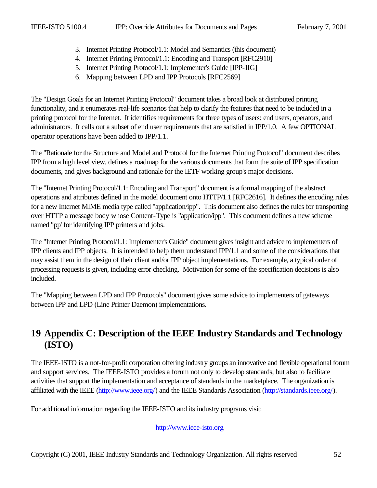- 3. Internet Printing Protocol/1.1: Model and Semantics (this document)
- 4. Internet Printing Protocol/1.1: Encoding and Transport [RFC2910]
- 5. Internet Printing Protocol/1.1: Implementer's Guide [IPP-IIG]
- 6. Mapping between LPD and IPP Protocols [RFC2569]

The "Design Goals for an Internet Printing Protocol" document takes a broad look at distributed printing functionality, and it enumerates real-life scenarios that help to clarify the features that need to be included in a printing protocol for the Internet. It identifies requirements for three types of users: end users, operators, and administrators. It calls out a subset of end user requirements that are satisfied in IPP/1.0. A few OPTIONAL operator operations have been added to IPP/1.1.

The "Rationale for the Structure and Model and Protocol for the Internet Printing Protocol" document describes IPP from a high level view, defines a roadmap for the various documents that form the suite of IPP specification documents, and gives background and rationale for the IETF working group's major decisions.

The "Internet Printing Protocol/1.1: Encoding and Transport" document is a formal mapping of the abstract operations and attributes defined in the model document onto HTTP/1.1 [RFC2616]. It defines the encoding rules for a new Internet MIME media type called "application/ipp". This document also defines the rules for transporting over HTTP a message body whose Content-Type is "application/ipp". This document defines a new scheme named 'ipp' for identifying IPP printers and jobs.

The "Internet Printing Protocol/1.1: Implementer's Guide" document gives insight and advice to implementers of IPP clients and IPP objects. It is intended to help them understand IPP/1.1 and some of the considerations that may assist them in the design of their client and/or IPP object implementations. For example, a typical order of processing requests is given, including error checking. Motivation for some of the specification decisions is also included.

The "Mapping between LPD and IPP Protocols" document gives some advice to implementers of gateways between IPP and LPD (Line Printer Daemon) implementations.

# **19 Appendix C: Description of the IEEE Industry Standards and Technology (ISTO)**

The IEEE-ISTO is a not-for-profit corporation offering industry groups an innovative and flexible operational forum and support services. The IEEE-ISTO provides a forum not only to develop standards, but also to facilitate activities that support the implementation and acceptance of standards in the marketplace. The organization is affiliated with the IEEE (http://www.ieee.org/) and the IEEE Standards Association (http://standards.ieee.org/).

For additional information regarding the IEEE-ISTO and its industry programs visit:

http://www.ieee-isto.org.